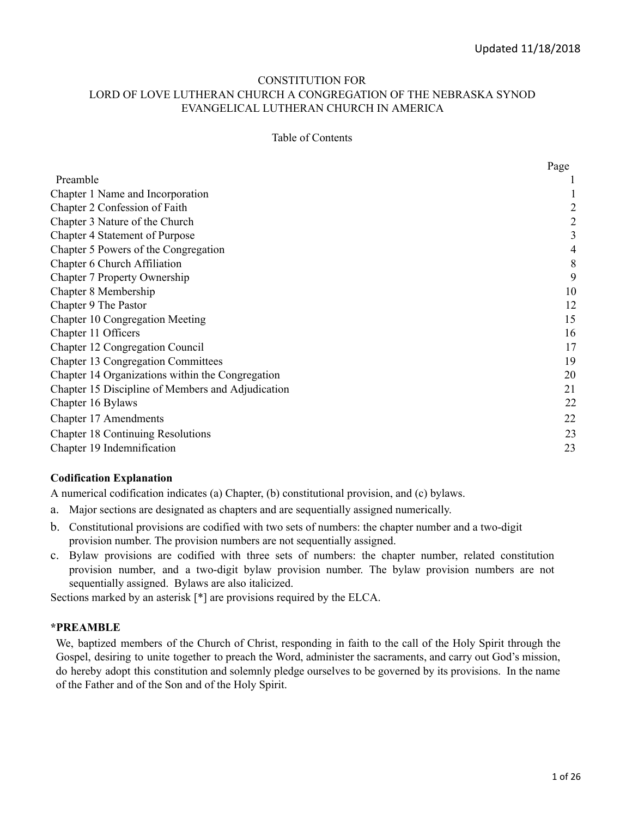#### CONSTITUTION FOR LORD OF LOVE LUTHERAN CHURCH A CONGREGATION OF THE NEBRASKA SYNOD EVANGELICAL LUTHERAN CHURCH IN AMERICA

#### Table of Contents

|                                                   | Page |
|---------------------------------------------------|------|
| Preamble                                          |      |
| Chapter 1 Name and Incorporation                  |      |
| Chapter 2 Confession of Faith                     | 2    |
| Chapter 3 Nature of the Church                    | 2    |
| <b>Chapter 4 Statement of Purpose</b>             | 3    |
| Chapter 5 Powers of the Congregation              | 4    |
| Chapter 6 Church Affiliation                      | 8    |
| Chapter 7 Property Ownership                      | 9    |
| Chapter 8 Membership                              | 10   |
| Chapter 9 The Pastor                              | 12   |
| Chapter 10 Congregation Meeting                   | 15   |
| Chapter 11 Officers                               | 16   |
| Chapter 12 Congregation Council                   | 17   |
| <b>Chapter 13 Congregation Committees</b>         | 19   |
| Chapter 14 Organizations within the Congregation  | 20   |
| Chapter 15 Discipline of Members and Adjudication | 21   |
| Chapter 16 Bylaws                                 | 22   |
| Chapter 17 Amendments                             | 22   |
| Chapter 18 Continuing Resolutions                 | 23   |
| Chapter 19 Indemnification                        | 23   |

#### **Codification Explanation**

A numerical codification indicates (a) Chapter, (b) constitutional provision, and (c) bylaws.

- a. Major sections are designated as chapters and are sequentially assigned numerically.
- b. Constitutional provisions are codified with two sets of numbers: the chapter number and a two-digit provision number. The provision numbers are not sequentially assigned.
- c. Bylaw provisions are codified with three sets of numbers: the chapter number, related constitution provision number, and a two-digit bylaw provision number. The bylaw provision numbers are not sequentially assigned. Bylaws are also italicized.

Sections marked by an asterisk [\*] are provisions required by the ELCA.

#### **\*PREAMBLE**

We, baptized members of the Church of Christ, responding in faith to the call of the Holy Spirit through the Gospel, desiring to unite together to preach the Word, administer the sacraments, and carry out God's mission, do hereby adopt this constitution and solemnly pledge ourselves to be governed by its provisions. In the name of the Father and of the Son and of the Holy Spirit.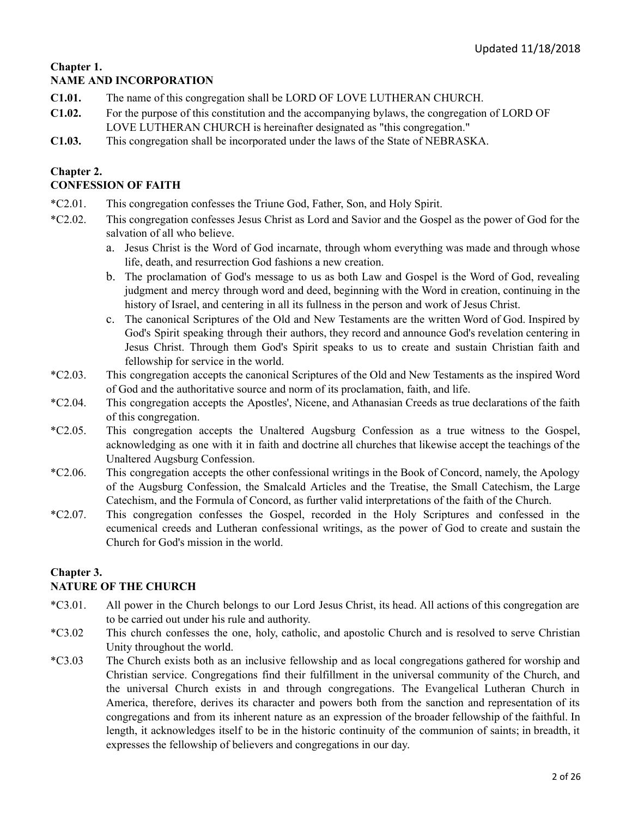# **Chapter 1.**

## **NAME AND INCORPORATION**

- **C1.01.** The name of this congregation shall be LORD OF LOVE LUTHERAN CHURCH.
- **C1.02.** For the purpose of this constitution and the accompanying bylaws, the congregation of LORD OF LOVE LUTHERAN CHURCH is hereinafter designated as "this congregation."
- **C1.03.** This congregation shall be incorporated under the laws of the State of NEBRASKA.

## **Chapter 2.**

## **CONFESSION OF FAITH**

- \*C2.01. This congregation confesses the Triune God, Father, Son, and Holy Spirit.
- \*C2.02. This congregation confesses Jesus Christ as Lord and Savior and the Gospel as the power of God for the salvation of all who believe.
	- a. Jesus Christ is the Word of God incarnate, through whom everything was made and through whose life, death, and resurrection God fashions a new creation.
	- b. The proclamation of God's message to us as both Law and Gospel is the Word of God, revealing judgment and mercy through word and deed, beginning with the Word in creation, continuing in the history of Israel, and centering in all its fullness in the person and work of Jesus Christ.
	- c. The canonical Scriptures of the Old and New Testaments are the written Word of God. Inspired by God's Spirit speaking through their authors, they record and announce God's revelation centering in Jesus Christ. Through them God's Spirit speaks to us to create and sustain Christian faith and fellowship for service in the world.
- \*C2.03. This congregation accepts the canonical Scriptures of the Old and New Testaments as the inspired Word of God and the authoritative source and norm of its proclamation, faith, and life.
- \*C2.04. This congregation accepts the Apostles', Nicene, and Athanasian Creeds as true declarations of the faith of this congregation.
- \*C2.05. This congregation accepts the Unaltered Augsburg Confession as a true witness to the Gospel, acknowledging as one with it in faith and doctrine all churches that likewise accept the teachings of the Unaltered Augsburg Confession.
- \*C2.06. This congregation accepts the other confessional writings in the Book of Concord, namely, the Apology of the Augsburg Confession, the Smalcald Articles and the Treatise, the Small Catechism, the Large Catechism, and the Formula of Concord, as further valid interpretations of the faith of the Church.
- \*C2.07. This congregation confesses the Gospel, recorded in the Holy Scriptures and confessed in the ecumenical creeds and Lutheran confessional writings, as the power of God to create and sustain the Church for God's mission in the world.

## **Chapter 3.**

## **NATURE OF THE CHURCH**

- \*C3.01. All power in the Church belongs to our Lord Jesus Christ, its head. All actions of this congregation are to be carried out under his rule and authority.
- \*C3.02 This church confesses the one, holy, catholic, and apostolic Church and is resolved to serve Christian Unity throughout the world.
- \*C3.03 The Church exists both as an inclusive fellowship and as local congregations gathered for worship and Christian service. Congregations find their fulfillment in the universal community of the Church, and the universal Church exists in and through congregations. The Evangelical Lutheran Church in America, therefore, derives its character and powers both from the sanction and representation of its congregations and from its inherent nature as an expression of the broader fellowship of the faithful. In length, it acknowledges itself to be in the historic continuity of the communion of saints; in breadth, it expresses the fellowship of believers and congregations in our day.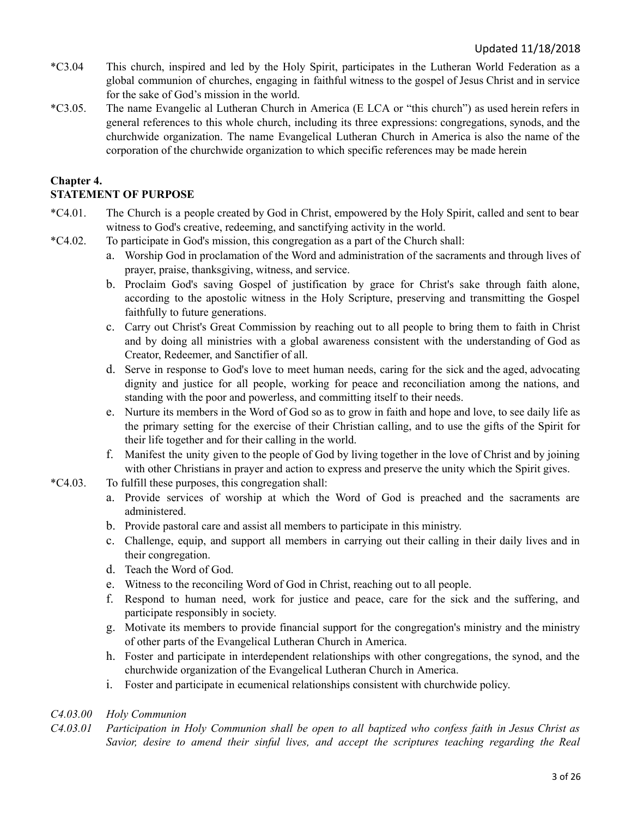- \*C3.04 This church, inspired and led by the Holy Spirit, participates in the Lutheran World Federation as a global communion of churches, engaging in faithful witness to the gospel of Jesus Christ and in service for the sake of God's mission in the world.
- \*C3.05. The name Evangelic al Lutheran Church in America (E LCA or "this church") as used herein refers in general references to this whole church, including its three expressions: congregations, synods, and the churchwide organization. The name Evangelical Lutheran Church in America is also the name of the corporation of the churchwide organization to which specific references may be made herein

# **Chapter 4.**

## **STATEMENT OF PURPOSE**

- \*C4.01. The Church is a people created by God in Christ, empowered by the Holy Spirit, called and sent to bear witness to God's creative, redeeming, and sanctifying activity in the world.
- \*C4.02. To participate in God's mission, this congregation as a part of the Church shall:
	- a. Worship God in proclamation of the Word and administration of the sacraments and through lives of prayer, praise, thanksgiving, witness, and service.
	- b. Proclaim God's saving Gospel of justification by grace for Christ's sake through faith alone, according to the apostolic witness in the Holy Scripture, preserving and transmitting the Gospel faithfully to future generations.
	- c. Carry out Christ's Great Commission by reaching out to all people to bring them to faith in Christ and by doing all ministries with a global awareness consistent with the understanding of God as Creator, Redeemer, and Sanctifier of all.
	- d. Serve in response to God's love to meet human needs, caring for the sick and the aged, advocating dignity and justice for all people, working for peace and reconciliation among the nations, and standing with the poor and powerless, and committing itself to their needs.
	- e. Nurture its members in the Word of God so as to grow in faith and hope and love, to see daily life as the primary setting for the exercise of their Christian calling, and to use the gifts of the Spirit for their life together and for their calling in the world.
	- f. Manifest the unity given to the people of God by living together in the love of Christ and by joining with other Christians in prayer and action to express and preserve the unity which the Spirit gives.
- \*C4.03. To fulfill these purposes, this congregation shall:
	- a. Provide services of worship at which the Word of God is preached and the sacraments are administered.
	- b. Provide pastoral care and assist all members to participate in this ministry.
	- c. Challenge, equip, and support all members in carrying out their calling in their daily lives and in their congregation.
	- d. Teach the Word of God.
	- e. Witness to the reconciling Word of God in Christ, reaching out to all people.
	- f. Respond to human need, work for justice and peace, care for the sick and the suffering, and participate responsibly in society.
	- g. Motivate its members to provide financial support for the congregation's ministry and the ministry of other parts of the Evangelical Lutheran Church in America.
	- h. Foster and participate in interdependent relationships with other congregations, the synod, and the churchwide organization of the Evangelical Lutheran Church in America.
	- i. Foster and participate in ecumenical relationships consistent with churchwide policy.

#### *C4.03.00 Holy Communion*

C4.03.01 Participation in Holy Communion shall be open to all baptized who confess faith in Jesus Christ as *Savior, desire to amend their sinful lives, and accept the scriptures teaching regarding the Real*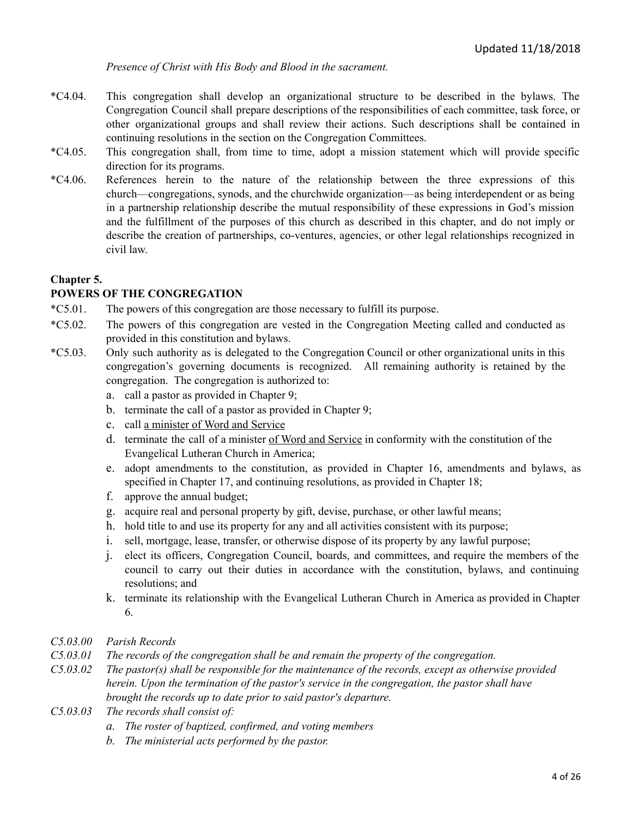*Presence of Christ with His Body and Blood in the sacrament.*

- \*C4.04. This congregation shall develop an organizational structure to be described in the bylaws. The Congregation Council shall prepare descriptions of the responsibilities of each committee, task force, or other organizational groups and shall review their actions. Such descriptions shall be contained in continuing resolutions in the section on the Congregation Committees.
- \*C4.05. This congregation shall, from time to time, adopt a mission statement which will provide specific direction for its programs.
- \*C4.06. References herein to the nature of the relationship between the three expressions of this church—congregations, synods, and the churchwide organization—as being interdependent or as being in a partnership relationship describe the mutual responsibility of these expressions in God's mission and the fulfillment of the purposes of this church as described in this chapter, and do not imply or describe the creation of partnerships, co-ventures, agencies, or other legal relationships recognized in civil law.

#### **Chapter 5.**

#### **POWERS OF THE CONGREGATION**

- \*C5.01. The powers of this congregation are those necessary to fulfill its purpose.
- \*C5.02. The powers of this congregation are vested in the Congregation Meeting called and conducted as provided in this constitution and bylaws.
- \*C5.03. Only such authority as is delegated to the Congregation Council or other organizational units in this congregation's governing documents is recognized. All remaining authority is retained by the congregation. The congregation is authorized to:
	- a. call a pastor as provided in Chapter 9;
	- b. terminate the call of a pastor as provided in Chapter 9;
	- c. call a minister of Word and Service
	- d. terminate the call of a minister of Word and Service in conformity with the constitution of the Evangelical Lutheran Church in America;
	- e. adopt amendments to the constitution, as provided in Chapter 16, amendments and bylaws, as specified in Chapter 17, and continuing resolutions, as provided in Chapter 18;
	- f. approve the annual budget;
	- g. acquire real and personal property by gift, devise, purchase, or other lawful means;
	- h. hold title to and use its property for any and all activities consistent with its purpose;
	- i. sell, mortgage, lease, transfer, or otherwise dispose of its property by any lawful purpose;
	- j. elect its officers, Congregation Council, boards, and committees, and require the members of the council to carry out their duties in accordance with the constitution, bylaws, and continuing resolutions; and
	- k. terminate its relationship with the Evangelical Lutheran Church in America as provided in Chapter 6.

#### *C5.03.00 Parish Records*

- *C5.03.01 The records of the congregation shall be and remain the property of the congregation.*
- *C5.03.02 The pastor(s) shall be responsible for the maintenance of the records, except as otherwise provided herein. Upon the termination of the pastor's service in the congregation, the pastor shall have brought the records up to date prior to said pastor's departure.*
- *C5.03.03 The records shall consist of:*
	- *a. The roster of baptized, confirmed, and voting members*
	- *b. The ministerial acts performed by the pastor.*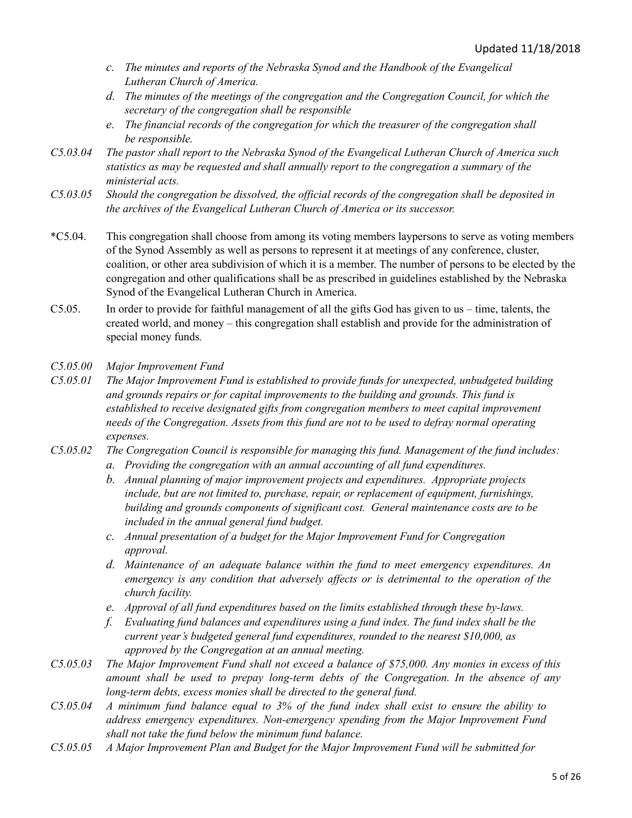- *c. The minutes and reports of the Nebraska Synod and the Handbook of the Evangelical Lutheran Church of America.*
- *d. The minutes of the meetings of the congregation and the Congregation Council, for which the secretary of the congregation shall be responsible*
- *e. The financial records of the congregation for which the treasurer of the congregation shall be responsible.*
- *C5.03.04 The pastor shall report to the Nebraska Synod of the Evangelical Lutheran Church of America such statistics as may be requested and shall annually report to the congregation a summary of the ministerial acts.*
- C5.03.05 Should the congregation be dissolved, the official records of the congregation shall be deposited in *the archives of the Evangelical Lutheran Church of America or its successor.*
- \*C5.04. This congregation shall choose from among its voting members laypersons to serve as voting members of the Synod Assembly as well as persons to represent it at meetings of any conference, cluster, coalition, or other area subdivision of which it is a member. The number of persons to be elected by the congregation and other qualifications shall be as prescribed in guidelines established by the Nebraska Synod of the Evangelical Lutheran Church in America.
- C5.05. In order to provide for faithful management of all the gifts God has given to us time, talents, the created world, and money – this congregation shall establish and provide for the administration of special money funds*.*
- *C5.05.00 Major Improvement Fund*
- *C5.05.01 The Major Improvement Fund is established to provide funds for unexpected, unbudgeted building and grounds repairs or for capital improvements to the building and grounds. This fund is established to receive designated gifts from congregation members to meet capital improvement needs of the Congregation. Assets from this fund are not to be used to defray normal operating expenses.*
- *C5.05.02 The Congregation Council is responsible for managing this fund. Management of the fund includes:*
	- *a. Providing the congregation with an annual accounting of all fund expenditures.*
	- *b. Annual planning of major improvement projects and expenditures. Appropriate projects include, but are not limited to, purchase, repair, or replacement of equipment, furnishings, building and grounds components of significant cost. General maintenance costs are to be included in the annual general fund budget.*
	- *c. Annual presentation of a budget for the Major Improvement Fund for Congregation approval.*
	- *d. Maintenance of an adequate balance within the fund to meet emergency expenditures. An emergency is any condition that adversely af ects or is detrimental to the operation of the church facility.*
	- *e. Approval of all fund expenditures based on the limits established through these by-laws.*
	- *f. Evaluating fund balances and expenditures using a fund index. The fund index shall be the current year's budgeted general fund expenditures, rounded to the nearest \$10,000, as approved by the Congregation at an annual meeting.*
- C5.05.03 The Major Improvement Fund shall not exceed a balance of \$75,000. Any monies in excess of this *amount shall be used to prepay long-term debts of the Congregation. In the absence of any long-term debts, excess monies shall be directed to the general fund.*
- $C$ 5.05.04 A minimum fund balance equal to 3% of the fund index shall exist to ensure the ability to *address emergency expenditures. Non-emergency spending from the Major Improvement Fund shall not take the fund below the minimum fund balance.*
- *C5.05.05 A Major Improvement Plan and Budget for the Major Improvement Fund will be submitted for*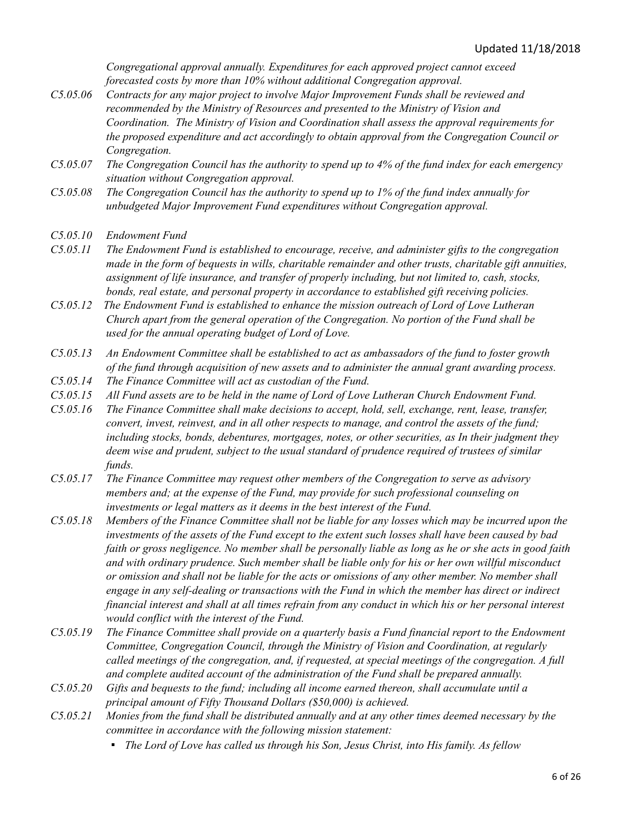*Congregational approval annually. Expenditures for each approved project cannot exceed forecasted costs by more than 10% without additional Congregation approval.*

- *C5.05.06 Contracts for any major project to involve Major Improvement Funds shall be reviewed and recommended by the Ministry of Resources and presented to the Ministry of Vision and Coordination. The Ministry of Vision and Coordination shall assess the approval requirements for the proposed expenditure and act accordingly to obtain approval from the Congregation Council or Congregation.*
- C5.05.07 The Congregation Council has the authority to spend up to 4% of the fund index for each emergency *situation without Congregation approval.*
- C5.05.08 The Congregation Council has the authority to spend up to 1% of the fund index annually for *unbudgeted Major Improvement Fund expenditures without Congregation approval.*
- *C5.05.10 Endowment Fund*
- *C5.05.11 The Endowment Fund is established to encourage, receive, and administer gifts to the congregation made in the form of bequests in wills, charitable remainder and other trusts, charitable gift annuities, assignment of life insurance, and transfer of properly including, but not limited to, cash, stocks, bonds, real estate, and personal property in accordance to established gift receiving policies.*
- *C5.05.12 The Endowment Fund is established to enhance the mission outreach of Lord of Love Lutheran Church apart from the general operation of the Congregation. No portion of the Fund shall be used for the annual operating budget of Lord of Love.*
- *C5.05.13 An Endowment Committee shall be established to act as ambassadors of the fund to foster growth of the fund through acquisition of new assets and to administer the annual grant awarding process.*
- *C5.05.14 The Finance Committee will act as custodian of the Fund.*
- C5.05.15 All Fund assets are to be held in the name of Lord of Love Lutheran Church Endowment Fund.
- *C5.05.16 The Finance Committee shall make decisions to accept, hold, sell, exchange, rent, lease, transfer, convert, invest, reinvest, and in all other respects to manage, and control the assets of the fund; including stocks, bonds, debentures, mortgages, notes, or other securities, as In their judgment they deem wise and prudent, subject to the usual standard of prudence required of trustees of similar funds.*
- *C5.05.17 The Finance Committee may request other members of the Congregation to serve as advisory members and; at the expense of the Fund, may provide for such professional counseling on investments or legal matters as it deems in the best interest of the Fund.*
- C5.05.18 Members of the Finance Committee shall not be liable for any losses which may be incurred upon the investments of the assets of the Fund except to the extent such losses shall have been caused by bad faith or gross negligence. No member shall be personally liable as long as he or she acts in good faith *and with ordinary prudence. Such member shall be liable only for his or her own willful misconduct* or omission and shall not be liable for the acts or omissions of any other member. No member shall *engage in any self-dealing or transactions with the Fund in which the member has direct or indirect* financial interest and shall at all times refrain from any conduct in which his or her personal interest *would conflict with the interest of the Fund.*
- C5.05.19 The Finance Committee shall provide on a quarterly basis a Fund financial report to the Endowment *Committee, Congregation Council, through the Ministry of Vision and Coordination, at regularly called meetings of the congregation, and, if requested, at special meetings of the congregation. A full and complete audited account of the administration of the Fund shall be prepared annually.*
- *C5.05.20 Gifts and bequests to the fund; including all income earned thereon, shall accumulate until a principal amount of Fifty Thousand Dollars (\$50,000) is achieved.*
- C5.05.21 Monies from the fund shall be distributed annually and at any other times deemed necessary by the *committee in accordance with the following mission statement:*
	- *▪ The Lord of Love has called us through his Son, Jesus Christ, into His family. As fellow*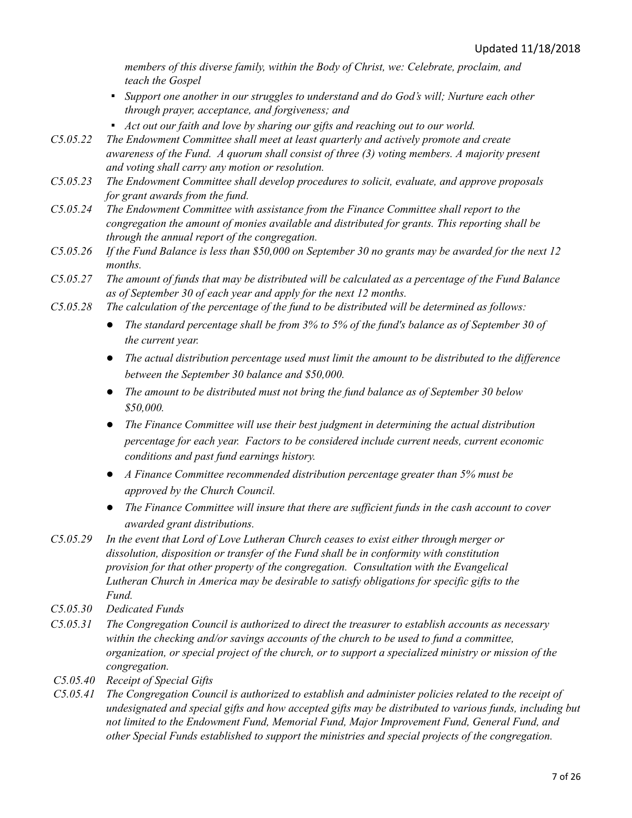*members of this diverse family, within the Body of Christ, we: Celebrate, proclaim, and teach the Gospel*

- *▪ Support one another in our struggles to understand and do God's will; Nurture each other through prayer, acceptance, and forgiveness; and*
- *▪ Act out our faith and love by sharing our gifts and reaching out to our world.*
- *C5.05.22 The Endowment Committee shall meet at least quarterly and actively promote and create awareness of the Fund. A quorum shall consist of three (3) voting members. A majority present and voting shall carry any motion or resolution.*
- *C5.05.23 The Endowment Committee shall develop procedures to solicit, evaluate, and approve proposals for grant awards from the fund.*
- *C5.05.24 The Endowment Committee with assistance from the Finance Committee shall report to the congregation the amount of monies available and distributed for grants. This reporting shall be through the annual report of the congregation.*
- $C5.05.26$  If the Fund Balance is less than \$50,000 on September 30 no grants may be awarded for the next 12 *months.*
- C5.05.27 The amount of funds that may be distributed will be calculated as a percentage of the Fund Balance *as of September 30 of each year and apply for the next 12 months.*
- *C5.05.28 The calculation of the percentage of the fund to be distributed will be determined as follows:*
	- *The standard percentage shall be from 3% to 5% of the fund's balance as of September 30 of the current year.*
	- *The actual distribution percentage used must limit the amount to be distributed to the dif erence between the September 30 balance and \$50,000.*
	- *The amount to be distributed must not bring the fund balance as of September 30 below \$50,000.*
	- *The Finance Committee will use their best judgment in determining the actual distribution percentage for each year. Factors to be considered include current needs, current economic conditions and past fund earnings history.*
	- *A Finance Committee recommended distribution percentage greater than 5% must be approved by the Church Council.*
	- *The Finance Committee will insure that there are suf icient funds in the cash account to cover awarded grant distributions.*
- *C5.05.29 In the event that Lord of Love Lutheran Church ceases to exist either through merger or dissolution, disposition or transfer of the Fund shall be in conformity with constitution provision for that other property of the congregation. Consultation with the Evangelical Lutheran Church in America may be desirable to satisfy obligations for specific gifts to the Fund.*
- *C5.05.30 Dedicated Funds*
- *C5.05.31 The Congregation Council is authorized to direct the treasurer to establish accounts as necessary within the checking and/or savings accounts of the church to be used to fund a committee, organization, or special project of the church, or to support a specialized ministry or mission of the congregation.*
- *C5.05.40 Receipt of Special Gifts*
- *C5.05.41 The Congregation Council is authorized to establish and administer policies related to the receipt of undesignated and special gifts and how accepted gifts may be distributed to various funds, including but not limited to the Endowment Fund, Memorial Fund, Major Improvement Fund, General Fund, and other Special Funds established to support the ministries and special projects of the congregation.*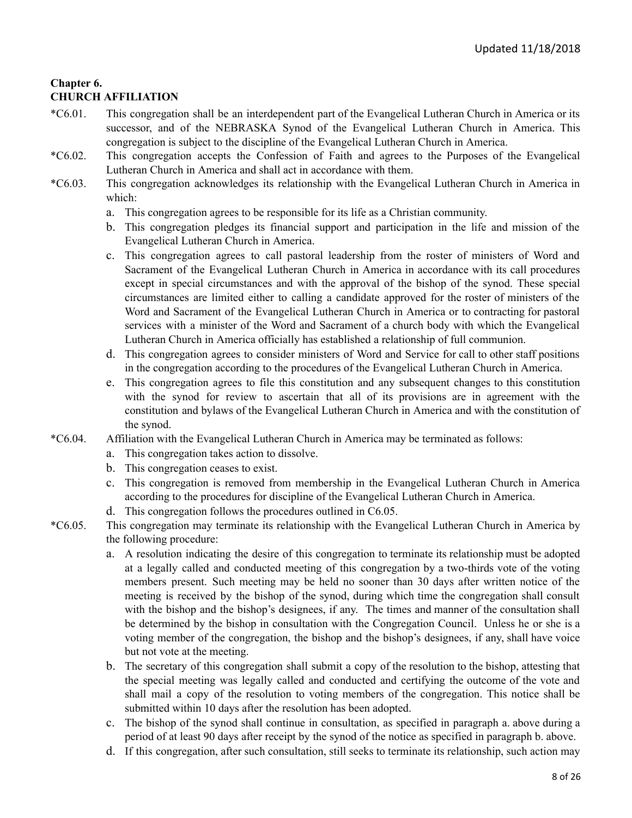## **Chapter 6. CHURCH AFFILIATION**

- \*C6.01. This congregation shall be an interdependent part of the Evangelical Lutheran Church in America or its successor, and of the NEBRASKA Synod of the Evangelical Lutheran Church in America. This congregation is subject to the discipline of the Evangelical Lutheran Church in America.
- \*C6.02. This congregation accepts the Confession of Faith and agrees to the Purposes of the Evangelical Lutheran Church in America and shall act in accordance with them.
- \*C6.03. This congregation acknowledges its relationship with the Evangelical Lutheran Church in America in which:
	- a. This congregation agrees to be responsible for its life as a Christian community.
	- b. This congregation pledges its financial support and participation in the life and mission of the Evangelical Lutheran Church in America.
	- c. This congregation agrees to call pastoral leadership from the roster of ministers of Word and Sacrament of the Evangelical Lutheran Church in America in accordance with its call procedures except in special circumstances and with the approval of the bishop of the synod. These special circumstances are limited either to calling a candidate approved for the roster of ministers of the Word and Sacrament of the Evangelical Lutheran Church in America or to contracting for pastoral services with a minister of the Word and Sacrament of a church body with which the Evangelical Lutheran Church in America officially has established a relationship of full communion.
	- d. This congregation agrees to consider ministers of Word and Service for call to other staff positions in the congregation according to the procedures of the Evangelical Lutheran Church in America.
	- e. This congregation agrees to file this constitution and any subsequent changes to this constitution with the synod for review to ascertain that all of its provisions are in agreement with the constitution and bylaws of the Evangelical Lutheran Church in America and with the constitution of the synod.
- \*C6.04. Affiliation with the Evangelical Lutheran Church in America may be terminated as follows:
	- a. This congregation takes action to dissolve.
	- b. This congregation ceases to exist.
	- c. This congregation is removed from membership in the Evangelical Lutheran Church in America according to the procedures for discipline of the Evangelical Lutheran Church in America.
	- d. This congregation follows the procedures outlined in C6.05.
- \*C6.05. This congregation may terminate its relationship with the Evangelical Lutheran Church in America by the following procedure:
	- a. A resolution indicating the desire of this congregation to terminate its relationship must be adopted at a legally called and conducted meeting of this congregation by a two-thirds vote of the voting members present. Such meeting may be held no sooner than 30 days after written notice of the meeting is received by the bishop of the synod, during which time the congregation shall consult with the bishop and the bishop's designees, if any. The times and manner of the consultation shall be determined by the bishop in consultation with the Congregation Council. Unless he or she is a voting member of the congregation, the bishop and the bishop's designees, if any, shall have voice but not vote at the meeting.
	- b. The secretary of this congregation shall submit a copy of the resolution to the bishop, attesting that the special meeting was legally called and conducted and certifying the outcome of the vote and shall mail a copy of the resolution to voting members of the congregation. This notice shall be submitted within 10 days after the resolution has been adopted.
	- c. The bishop of the synod shall continue in consultation, as specified in paragraph a. above during a period of at least 90 days after receipt by the synod of the notice as specified in paragraph b. above.
	- d. If this congregation, after such consultation, still seeks to terminate its relationship, such action may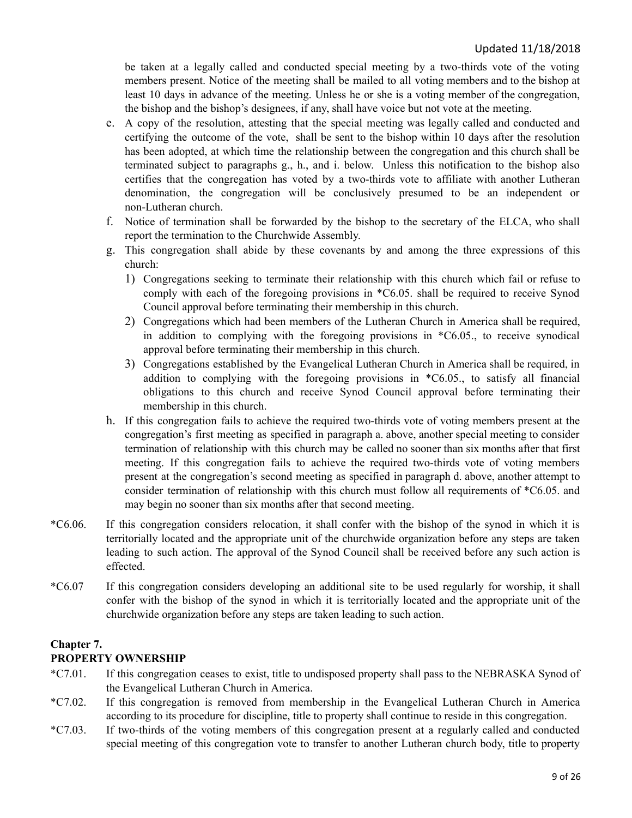be taken at a legally called and conducted special meeting by a two-thirds vote of the voting members present. Notice of the meeting shall be mailed to all voting members and to the bishop at least 10 days in advance of the meeting. Unless he or she is a voting member of the congregation, the bishop and the bishop's designees, if any, shall have voice but not vote at the meeting.

- e. A copy of the resolution, attesting that the special meeting was legally called and conducted and certifying the outcome of the vote, shall be sent to the bishop within 10 days after the resolution has been adopted, at which time the relationship between the congregation and this church shall be terminated subject to paragraphs g., h., and i. below. Unless this notification to the bishop also certifies that the congregation has voted by a two-thirds vote to affiliate with another Lutheran denomination, the congregation will be conclusively presumed to be an independent or non-Lutheran church.
- f. Notice of termination shall be forwarded by the bishop to the secretary of the ELCA, who shall report the termination to the Churchwide Assembly.
- g. This congregation shall abide by these covenants by and among the three expressions of this church:
	- 1) Congregations seeking to terminate their relationship with this church which fail or refuse to comply with each of the foregoing provisions in \*C6.05. shall be required to receive Synod Council approval before terminating their membership in this church.
	- 2) Congregations which had been members of the Lutheran Church in America shall be required, in addition to complying with the foregoing provisions in \*C6.05., to receive synodical approval before terminating their membership in this church.
	- 3) Congregations established by the Evangelical Lutheran Church in America shall be required, in addition to complying with the foregoing provisions in \*C6.05., to satisfy all financial obligations to this church and receive Synod Council approval before terminating their membership in this church.
- h. If this congregation fails to achieve the required two-thirds vote of voting members present at the congregation's first meeting as specified in paragraph a. above, another special meeting to consider termination of relationship with this church may be called no sooner than six months after that first meeting. If this congregation fails to achieve the required two-thirds vote of voting members present at the congregation's second meeting as specified in paragraph d. above, another attempt to consider termination of relationship with this church must follow all requirements of \*C6.05. and may begin no sooner than six months after that second meeting.
- \*C6.06. If this congregation considers relocation, it shall confer with the bishop of the synod in which it is territorially located and the appropriate unit of the churchwide organization before any steps are taken leading to such action. The approval of the Synod Council shall be received before any such action is effected.
- \*C6.07 If this congregation considers developing an additional site to be used regularly for worship, it shall confer with the bishop of the synod in which it is territorially located and the appropriate unit of the churchwide organization before any steps are taken leading to such action.

## **Chapter 7. PROPERTY OWNERSHIP**

- \*C7.01. If this congregation ceases to exist, title to undisposed property shall pass to the NEBRASKA Synod of the Evangelical Lutheran Church in America.
- \*C7.02. If this congregation is removed from membership in the Evangelical Lutheran Church in America according to its procedure for discipline, title to property shall continue to reside in this congregation.
- \*C7.03. If two-thirds of the voting members of this congregation present at a regularly called and conducted special meeting of this congregation vote to transfer to another Lutheran church body, title to property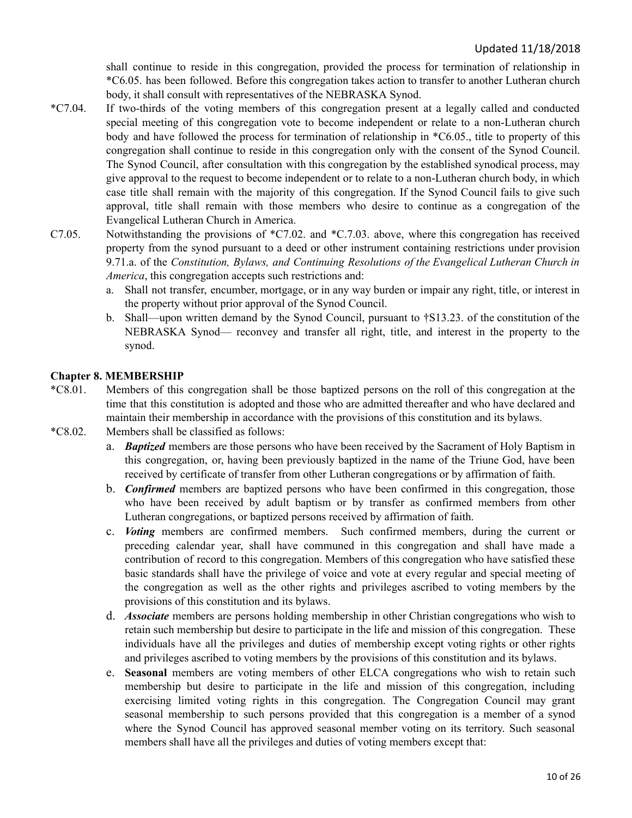shall continue to reside in this congregation, provided the process for termination of relationship in \*C6.05. has been followed. Before this congregation takes action to transfer to another Lutheran church body, it shall consult with representatives of the NEBRASKA Synod.

- \*C7.04. If two-thirds of the voting members of this congregation present at a legally called and conducted special meeting of this congregation vote to become independent or relate to a non-Lutheran church body and have followed the process for termination of relationship in \*C6.05., title to property of this congregation shall continue to reside in this congregation only with the consent of the Synod Council. The Synod Council, after consultation with this congregation by the established synodical process, may give approval to the request to become independent or to relate to a non-Lutheran church body, in which case title shall remain with the majority of this congregation. If the Synod Council fails to give such approval, title shall remain with those members who desire to continue as a congregation of the Evangelical Lutheran Church in America.
- C7.05. Notwithstanding the provisions of \*C7.02. and \*C.7.03. above, where this congregation has received property from the synod pursuant to a deed or other instrument containing restrictions under provision 9.71.a. of the *Constitution, Bylaws, and Continuing Resolutions of the Evangelical Lutheran Church in America*, this congregation accepts such restrictions and:
	- a. Shall not transfer, encumber, mortgage, or in any way burden or impair any right, title, or interest in the property without prior approval of the Synod Council.
	- b. Shall—upon written demand by the Synod Council, pursuant to †S13.23. of the constitution of the NEBRASKA Synod— reconvey and transfer all right, title, and interest in the property to the synod.

#### <span id="page-9-0"></span>**Chapter 8. MEMBERSHIP**

- \*C8.01. Members of this congregation shall be those baptized persons on the roll of this congregation at the time that this constitution is adopted and those who are admitted thereafter and who have declared and maintain their membership in accordance with the provisions of this constitution and its bylaws.
- \*C8.02. Members shall be classified as follows:
	- a. *Baptized* members are those persons who have been received by the Sacrament of Holy Baptism in this congregation, or, having been previously baptized in the name of the Triune God, have been received by certificate of transfer from other Lutheran congregations or by affirmation of faith.
	- b. *Confirmed* members are baptized persons who have been confirmed in this congregation, those who have been received by adult baptism or by transfer as confirmed members from other Lutheran congregations, or baptized persons received by affirmation of faith.
	- c. *Voting* members are confirmed members. Such confirmed members, during the current or preceding calendar year, shall have communed in this congregation and shall have made a contribution of record to this congregation. Members of this congregation who have satisfied these basic standards shall have the privilege of voice and vote at every regular and special meeting of the congregation as well as the other rights and privileges ascribed to voting members by the provisions of this constitution and its bylaws.
	- d. *Associate* members are persons holding membership in other Christian congregations who wish to retain such membership but desire to participate in the life and mission of this congregation. These individuals have all the privileges and duties of membership except voting rights or other rights and privileges ascribed to voting members by the provisions of this constitution and its bylaws.
	- e. **Seasonal** members are voting members of other ELCA congregations who wish to retain such membership but desire to participate in the life and mission of this congregation, including exercising limited voting rights in this congregation. The Congregation Council may grant seasonal membership to such persons provided that this congregation is a member of a synod where the Synod Council has approved seasonal member voting on its territory. Such seasonal members shall have all the privileges and duties of voting members except that: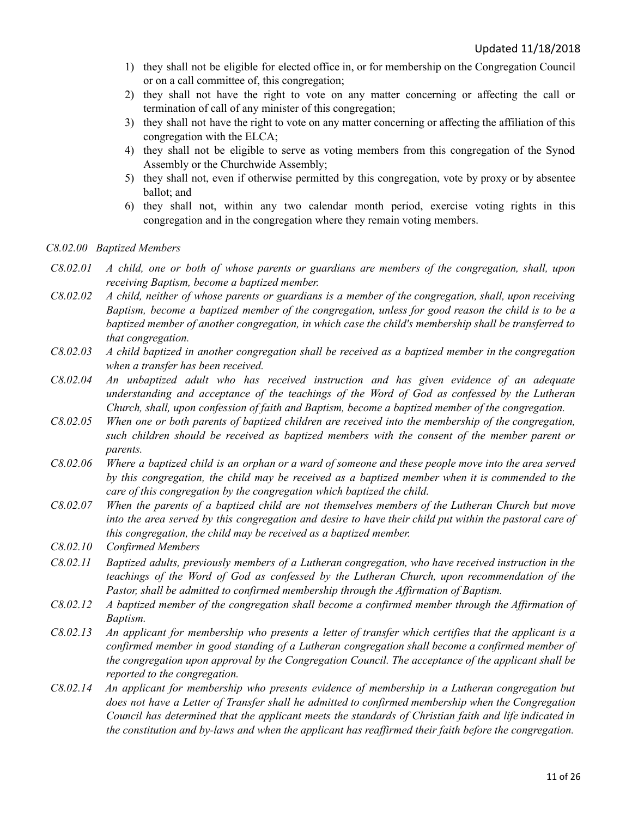- 1) they shall not be eligible for elected office in, or for membership on the Congregation Council or on a call committee of, this congregation;
- 2) they shall not have the right to vote on any matter concerning or affecting the call or termination of call of any minister of this congregation;
- 3) they shall not have the right to vote on any matter concerning or affecting the affiliation of this congregation with the ELCA;
- 4) they shall not be eligible to serve as voting members from this congregation of the Synod Assembly or the Churchwide Assembly;
- 5) they shall not, even if otherwise permitted by this congregation, vote by proxy or by absentee ballot; and
- 6) they shall not, within any two calendar month period, exercise voting rights in this congregation and in the congregation where they remain voting members.

#### *C8.02.00 Baptized Members*

- $C8.02.01$  A child, one or both of whose parents or guardians are members of the congregation, shall, upon *receiving Baptism, become a baptized member.*
- $C8.02.02$  A child, neither of whose parents or guardians is a member of the congregation, shall, upon receiving *Baptism, become a baptized member of the congregation, unless for good reason the child is to be a baptized member of another congregation, in which case the child's membership shall be transferred to that congregation.*
- $C8.02.03$  A child baptized in another congregation shall be received as a baptized member in the congregation *when a transfer has been received.*
- *C8.02.04 An unbaptized adult who has received instruction and has given evidence of an adequate understanding and acceptance of the teachings of the Word of God as confessed by the Lutheran Church, shall, upon confession of faith and Baptism, become a baptized member of the congregation.*
- $C8.02.05$  When one or both parents of baptized children are received into the membership of the congregation, *such children should be received as baptized members with the consent of the member parent or parents.*
- C8.02.06 Where a baptized child is an orphan or a ward of someone and these people move into the area served *by this congregation, the child may be received as a baptized member when it is commended to the care of this congregation by the congregation which baptized the child.*
- C8.02.07 When the parents of a baptized child are not themselves members of the Lutheran Church but move into the area served by this congregation and desire to have their child put within the pastoral care of *this congregation, the child may be received as a baptized member.*
- *C8.02.10 Confirmed Members*
- *C8.02.11 Baptized adults, previously members of a Lutheran congregation, who have received instruction in the teachings of the Word of God as confessed by the Lutheran Church, upon recommendation of the Pastor, shall be admitted to confirmed membership through the Af irmation of Baptism.*
- *C8.02.12 A baptized member of the congregation shall become a confirmed member through the Af irmation of Baptism.*
- C8.02.13 An applicant for membership who presents a letter of transfer which certifies that the applicant is a *confirmed member in good standing of a Lutheran congregation shall become a confirmed member of the congregation upon approval by the Congregation Council. The acceptance of the applicant shall be reported to the congregation.*
- *C8.02.14 An applicant for membership who presents evidence of membership in a Lutheran congregation but does not have a Letter of Transfer shall he admitted to confirmed membership when the Congregation Council has determined that the applicant meets the standards of Christian faith and life indicated in the constitution and by-laws and when the applicant has reaf irmed their faith before the congregation.*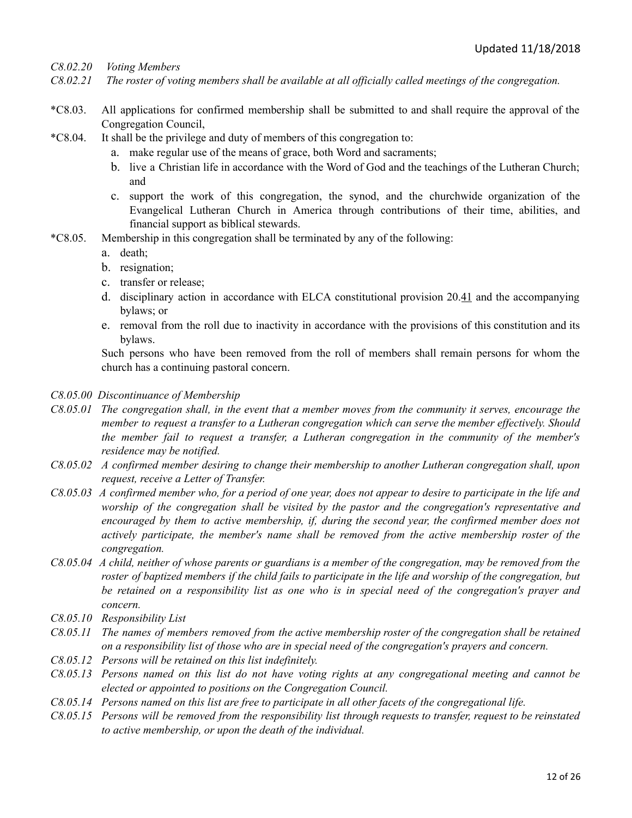*C8.02.20 Voting Members*

- C8.02.21 The roster of voting members shall be available at all officially called meetings of the congregation.
- \*C8.03. All applications for confirmed membership shall be submitted to and shall require the approval of the Congregation Council,
- \*C8.04. It shall be the privilege and duty of members of this congregation to:
	- a. make regular use of the means of grace, both Word and sacraments;
	- b. live a Christian life in accordance with the Word of God and the teachings of the Lutheran Church; and
	- c. support the work of this congregation, the synod, and the churchwide organization of the Evangelical Lutheran Church in America through contributions of their time, abilities, and financial support as biblical stewards.
- \*C8.05. Membership in this congregation shall be terminated by any of the following:
	- a. death;
	- b. resignation;
	- c. transfer or release;
	- d. disciplinary action in accordance with ELCA constitutional provision 20.41 and the accompanying bylaws; or
	- e. removal from the roll due to inactivity in accordance with the provisions of this constitution and its bylaws.

Such persons who have been removed from the roll of members shall remain persons for whom the church has a continuing pastoral concern.

- *C8.05.00 Discontinuance of Membership*
- C8.05.01 The congregation shall, in the event that a member moves from the community it serves, encourage the *member to request a transfer to a Lutheran congregation which can serve the member ef ectively. Should the member fail to request a transfer, a Lutheran congregation in the community of the member's residence may be notified.*
- *C8.05.02 A confirmed member desiring to change their membership to another Lutheran congregation shall, upon request, receive a Letter of Transfer.*
- C8.05.03 A confirmed member who, for a period of one year, does not appear to desire to participate in the life and *worship of the congregation shall be visited by the pastor and the congregation's representative and encouraged by them to active membership, if, during the second year, the confirmed member does not actively participate, the member's name shall be removed from the active membership roster of the congregation.*
- C8.05.04 A child, neither of whose parents or guardians is a member of the congregation, may be removed from the roster of baptized members if the child fails to participate in the life and worship of the congregation, but be retained on a responsibility list as one who is in special need of the congregation's prayer and *concern.*
- *C8.05.10 Responsibility List*
- C8.05.11 The names of members removed from the active membership roster of the congregation shall be retained *on a responsibility list of those who are in special need of the congregation's prayers and concern.*
- *C8.05.12 Persons will be retained on this list indefinitely.*
- C8.05.13 Persons named on this list do not have voting rights at any congregational meeting and cannot be *elected or appointed to positions on the Congregation Council.*
- C8.05.14 Persons named on this list are free to participate in all other facets of the congregational life.
- C8.05.15 Persons will be removed from the responsibility list through requests to transfer, request to be reinstated *to active membership, or upon the death of the individual.*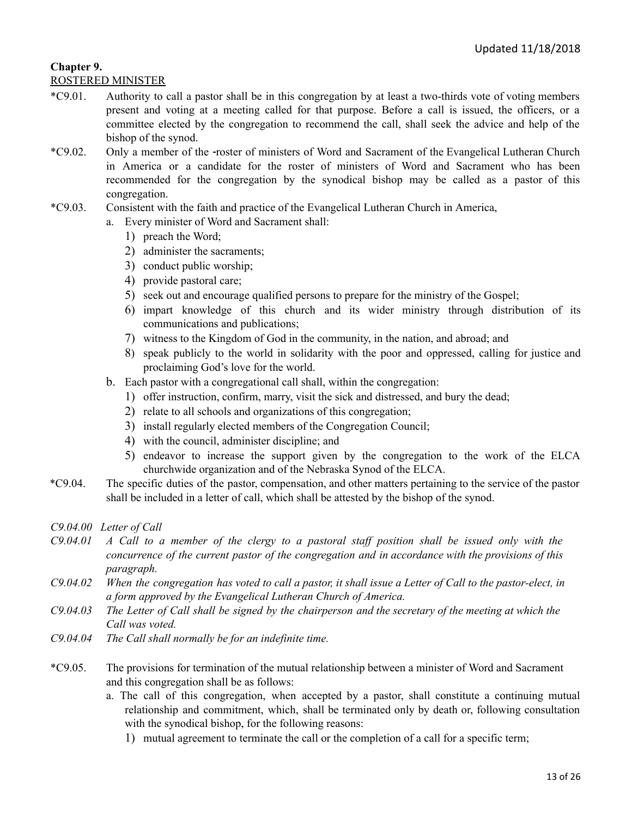## **Chapter 9.**

#### ROSTERED MINISTER

- \*C9.01. Authority to call a pastor shall be in this congregation by at least a two-thirds vote of voting members present and voting at a meeting called for that purpose. Before a call is issued, the officers, or a committee elected by the congregation to recommend the call, shall seek the advice and help of the bishop of the synod.
- \*C9.02. Only a member of the roster of ministers of Word and Sacrament of the Evangelical Lutheran Church in America or a candidate for the roster of ministers of Word and Sacrament who has been recommended for the congregation by the synodical bishop may be called as a pastor of this congregation.
- \*C9.03. Consistent with the faith and practice of the Evangelical Lutheran Church in America,
	- a. Every minister of Word and Sacrament shall:
		- 1) preach the Word;
		- 2) administer the sacraments;
		- 3) conduct public worship;
		- 4) provide pastoral care;
		- 5) seek out and encourage qualified persons to prepare for the ministry of the Gospel;
		- 6) impart knowledge of this church and its wider ministry through distribution of its communications and publications;
		- 7) witness to the Kingdom of God in the community, in the nation, and abroad; and
		- 8 ) speak publicly to the world in solidarity with the poor and oppressed, calling for justice and proclaiming God's love for the world.
	- b. Each pastor with a congregational call shall, within the congregation:
		- 1) offer instruction, confirm, marry, visit the sick and distressed, and bury the dead;
		- 2) relate to all schools and organizations of this congregation;
		- 3) install regularly elected members of the Congregation Council;
		- 4) with the council, administer discipline; and
		- 5) endeavor to increase the support given by the congregation to the work of the ELCA churchwide organization and of the Nebraska Synod of the ELCA.
- \*C9.04. The specific duties of the pastor, compensation, and other matters pertaining to the service of the pastor shall be included in a letter of call, which shall be attested by the bishop of the synod.

*C9.04.00 Letter of Call*

- $C9.04.01$  A Call to a member of the clergy to a pastoral staff position shall be issued only with the *concurrence of the current pastor of the congregation and in accordance with the provisions of this paragraph.*
- $C9.04.02$  When the congregation has voted to call a pastor, it shall issue a Letter of Call to the pastor-elect, in *a form approved by the Evangelical Lutheran Church of America.*
- $C9.04.03$  The Letter of Call shall be signed by the chairperson and the secretary of the meeting at which the *Call was voted.*
- *C9.04.04 The Call shall normally be for an indefinite time.*
- \*C9.05. The provisions for termination of the mutual relationship between a minister of Word and Sacrament and this congregation shall be as follows:
	- a. The call of this congregation, when accepted by a pastor, shall constitute a continuing mutual relationship and commitment, which, shall be terminated only by death or, following consultation with the synodical bishop, for the following reasons:
		- 1) mutual agreement to terminate the call or the completion of a call for a specific term;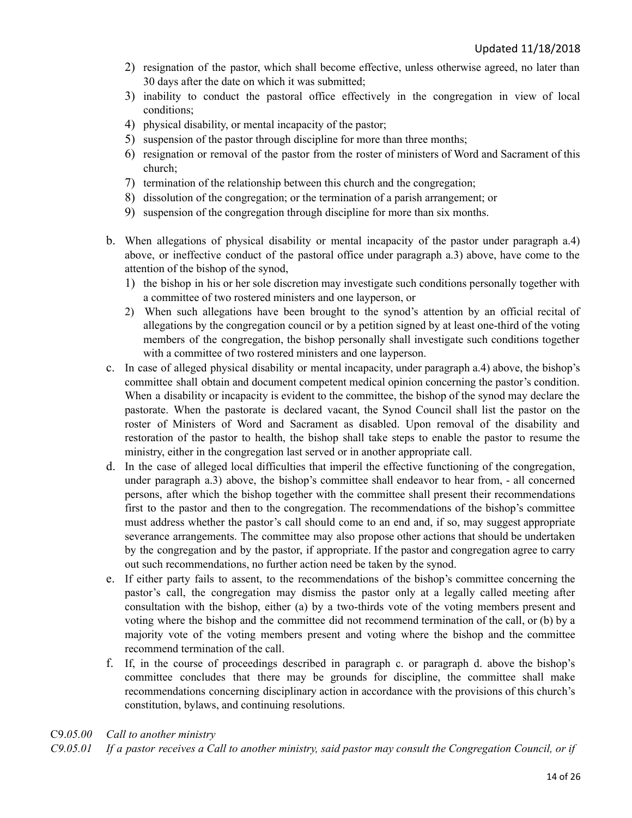- 2) resignation of the pastor, which shall become effective, unless otherwise agreed, no later than 30 days after the date on which it was submitted;
- 3) inability to conduct the pastoral office effectively in the congregation in view of local conditions;
- 4) physical disability, or mental incapacity of the pastor;
- 5) suspension of the pastor through discipline for more than three months;
- 6) resignation or removal of the pastor from the roster of ministers of Word and Sacrament of this church;
- 7) termination of the relationship between this church and the congregation;
- 8) dissolution of the congregation; or the termination of a parish arrangement; or
- 9) suspension of the congregation through discipline for more than six months.
- b. When allegations of physical disability or mental incapacity of the pastor under paragraph a.4) above, or ineffective conduct of the pastoral office under paragraph a.3) above, have come to the attention of the bishop of the synod,
	- 1) the bishop in his or her sole discretion may investigate such conditions personally together with a committee of two rostered ministers and one layperson, or
	- 2) When such allegations have been brought to the synod's attention by an official recital of allegations by the congregation council or by a petition signed by at least one-third of the voting members of the congregation, the bishop personally shall investigate such conditions together with a committee of two rostered ministers and one layperson.
- c. In case of alleged physical disability or mental incapacity, under paragraph a.4) above, the bishop's committee shall obtain and document competent medical opinion concerning the pastor's condition. When a disability or incapacity is evident to the committee, the bishop of the synod may declare the pastorate. When the pastorate is declared vacant, the Synod Council shall list the pastor on the roster of Ministers of Word and Sacrament as disabled. Upon removal of the disability and restoration of the pastor to health, the bishop shall take steps to enable the pastor to resume the ministry, either in the congregation last served or in another appropriate call.
- d. In the case of alleged local difficulties that imperil the effective functioning of the congregation, under paragraph a.3) above, the bishop's committee shall endeavor to hear from, - all concerned persons, after which the bishop together with the committee shall present their recommendations first to the pastor and then to the congregation. The recommendations of the bishop's committee must address whether the pastor's call should come to an end and, if so, may suggest appropriate severance arrangements. The committee may also propose other actions that should be undertaken by the congregation and by the pastor, if appropriate. If the pastor and congregation agree to carry out such recommendations, no further action need be taken by the synod.
- e. If either party fails to assent, to the recommendations of the bishop's committee concerning the pastor's call, the congregation may dismiss the pastor only at a legally called meeting after consultation with the bishop, either (a) by a two-thirds vote of the voting members present and voting where the bishop and the committee did not recommend termination of the call, or (b) by a majority vote of the voting members present and voting where the bishop and the committee recommend termination of the call.
- f. If, in the course of proceedings described in paragraph c. or paragraph d. above the bishop's committee concludes that there may be grounds for discipline, the committee shall make recommendations concerning disciplinary action in accordance with the provisions of this church's constitution, bylaws, and continuing resolutions.

#### C9.*05.00 Call to another ministry*

 $C9.05.01$  If a pastor receives a Call to another ministry, said pastor may consult the Congregation Council, or if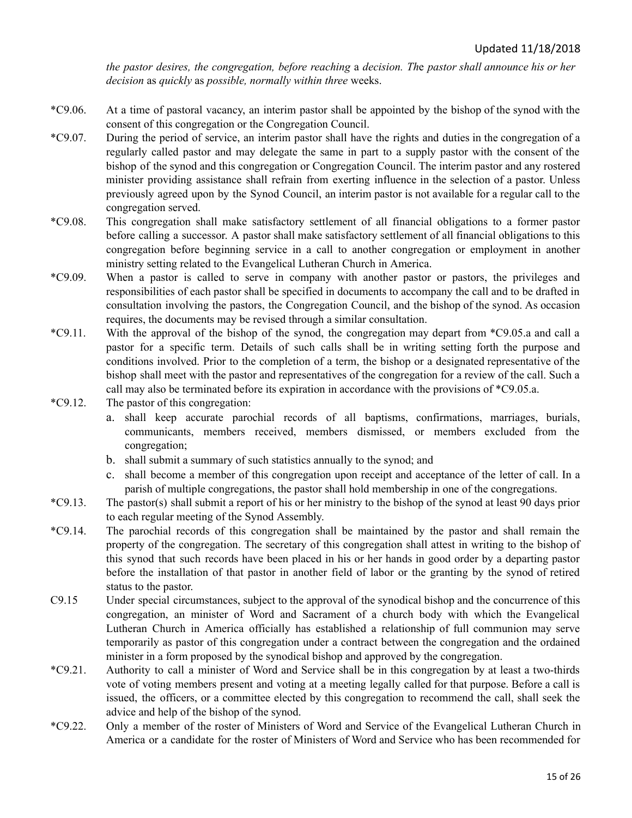*the pastor desires, the congregation, before reaching* a *decision. Th*e *pastor shall announce his or her decision* as *quickly* as *possible, normally within three* weeks.

- \*C9.06. At a time of pastoral vacancy, an interim pastor shall be appointed by the bishop of the synod with the consent of this congregation or the Congregation Council.
- \*C9.07. During the period of service, an interim pastor shall have the rights and duties in the congregation of a regularly called pastor and may delegate the same in part to a supply pastor with the consent of the bishop of the synod and this congregation or Congregation Council. The interim pastor and any rostered minister providing assistance shall refrain from exerting influence in the selection of a pastor. Unless previously agreed upon by the Synod Council, an interim pastor is not available for a regular call to the congregation served.
- \*C9.08. This congregation shall make satisfactory settlement of all financial obligations to a former pastor before calling a successor. A pastor shall make satisfactory settlement of all financial obligations to this congregation before beginning service in a call to another congregation or employment in another ministry setting related to the Evangelical Lutheran Church in America.
- \*C9.09. When a pastor is called to serve in company with another pastor or pastors, the privileges and responsibilities of each pastor shall be specified in documents to accompany the call and to be drafted in consultation involving the pastors, the Congregation Council, and the bishop of the synod. As occasion requires, the documents may be revised through a similar consultation.
- \*C9.11. With the approval of the bishop of the synod, the congregation may depart from \*C9.05.a and call a pastor for a specific term. Details of such calls shall be in writing setting forth the purpose and conditions involved. Prior to the completion of a term, the bishop or a designated representative of the bishop shall meet with the pastor and representatives of the congregation for a review of the call. Such a call may also be terminated before its expiration in accordance with the provisions of \*C9.05.a.
- \*C9.12. The pastor of this congregation:
	- a. shall keep accurate parochial records of all baptisms, confirmations, marriages, burials, communicants, members received, members dismissed, or members excluded from the congregation;
	- b. shall submit a summary of such statistics annually to the synod; and
	- c. shall become a member of this congregation upon receipt and acceptance of the letter of call. In a parish of multiple congregations, the pastor shall hold membership in one of the congregations.
- \*C9.13. The pastor(s) shall submit a report of his or her ministry to the bishop of the synod at least 90 days prior to each regular meeting of the Synod Assembly.
- \*C9.14. The parochial records of this congregation shall be maintained by the pastor and shall remain the property of the congregation. The secretary of this congregation shall attest in writing to the bishop of this synod that such records have been placed in his or her hands in good order by a departing pastor before the installation of that pastor in another field of labor or the granting by the synod of retired status to the pastor.
- C9.15 Under special circumstances, subject to the approval of the synodical bishop and the concurrence of this congregation, an minister of Word and Sacrament of a church body with which the Evangelical Lutheran Church in America officially has established a relationship of full communion may serve temporarily as pastor of this congregation under a contract between the congregation and the ordained minister in a form proposed by the synodical bishop and approved by the congregation.
- \*C9.21. Authority to call a minister of Word and Service shall be in this congregation by at least a two-thirds vote of voting members present and voting at a meeting legally called for that purpose. Before a call is issued, the officers, or a committee elected by this congregation to recommend the call, shall seek the advice and help of the bishop of the synod.
- \*C9.22. Only a member of the roster of Ministers of Word and Service of the Evangelical Lutheran Church in America or a candidate for the roster of Ministers of Word and Service who has been recommended for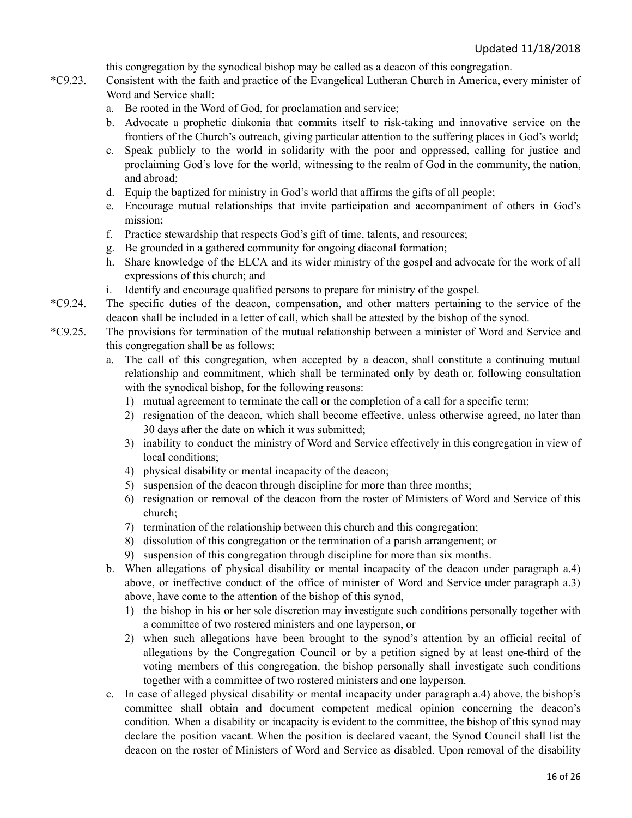this congregation by the synodical bishop may be called as a deacon of this congregation.

- \*C9.23. Consistent with the faith and practice of the Evangelical Lutheran Church in America, every minister of Word and Service shall:
	- a. Be rooted in the Word of God, for proclamation and service;
	- b. Advocate a prophetic diakonia that commits itself to risk-taking and innovative service on the frontiers of the Church's outreach, giving particular attention to the suffering places in God's world;
	- c. Speak publicly to the world in solidarity with the poor and oppressed, calling for justice and proclaiming God's love for the world, witnessing to the realm of God in the community, the nation, and abroad;
	- d. Equip the baptized for ministry in God's world that affirms the gifts of all people;
	- e. Encourage mutual relationships that invite participation and accompaniment of others in God's mission;
	- f. Practice stewardship that respects God's gift of time, talents, and resources;
	- g. Be grounded in a gathered community for ongoing diaconal formation;
	- h. Share knowledge of the ELCA and its wider ministry of the gospel and advocate for the work of all expressions of this church; and
	- i. Identify and encourage qualified persons to prepare for ministry of the gospel.
- \*C9.24. The specific duties of the deacon, compensation, and other matters pertaining to the service of the deacon shall be included in a letter of call, which shall be attested by the bishop of the synod.
- \*C9.25. The provisions for termination of the mutual relationship between a minister of Word and Service and this congregation shall be as follows:
	- a. The call of this congregation, when accepted by a deacon, shall constitute a continuing mutual relationship and commitment, which shall be terminated only by death or, following consultation with the synodical bishop, for the following reasons:
		- 1) mutual agreement to terminate the call or the completion of a call for a specific term;
		- 2) resignation of the deacon, which shall become effective, unless otherwise agreed, no later than 30 days after the date on which it was submitted;
		- 3) inability to conduct the ministry of Word and Service effectively in this congregation in view of local conditions;
		- 4) physical disability or mental incapacity of the deacon;
		- 5) suspension of the deacon through discipline for more than three months;
		- 6) resignation or removal of the deacon from the roster of Ministers of Word and Service of this church;
		- 7) termination of the relationship between this church and this congregation;
		- 8) dissolution of this congregation or the termination of a parish arrangement; or
		- 9) suspension of this congregation through discipline for more than six months.
	- b. When allegations of physical disability or mental incapacity of the deacon under paragraph a.4) above, or ineffective conduct of the office of minister of Word and Service under paragraph a.3) above, have come to the attention of the bishop of this synod,
		- 1) the bishop in his or her sole discretion may investigate such conditions personally together with a committee of two rostered ministers and one layperson, or
		- 2) when such allegations have been brought to the synod's attention by an official recital of allegations by the Congregation Council or by a petition signed by at least one-third of the voting members of this congregation, the bishop personally shall investigate such conditions together with a committee of two rostered ministers and one layperson.
	- c. In case of alleged physical disability or mental incapacity under paragraph a.4) above, the bishop's committee shall obtain and document competent medical opinion concerning the deacon's condition. When a disability or incapacity is evident to the committee, the bishop of this synod may declare the position vacant. When the position is declared vacant, the Synod Council shall list the deacon on the roster of Ministers of Word and Service as disabled. Upon removal of the disability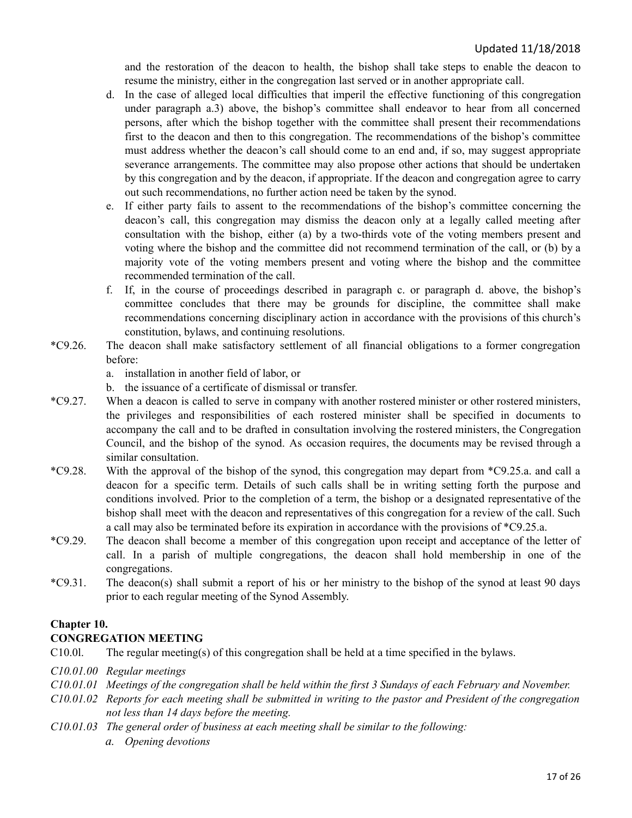and the restoration of the deacon to health, the bishop shall take steps to enable the deacon to resume the ministry, either in the congregation last served or in another appropriate call.

- d. In the case of alleged local difficulties that imperil the effective functioning of this congregation under paragraph a.3) above, the bishop's committee shall endeavor to hear from all concerned persons, after which the bishop together with the committee shall present their recommendations first to the deacon and then to this congregation. The recommendations of the bishop's committee must address whether the deacon's call should come to an end and, if so, may suggest appropriate severance arrangements. The committee may also propose other actions that should be undertaken by this congregation and by the deacon, if appropriate. If the deacon and congregation agree to carry out such recommendations, no further action need be taken by the synod.
- e. If either party fails to assent to the recommendations of the bishop's committee concerning the deacon's call, this congregation may dismiss the deacon only at a legally called meeting after consultation with the bishop, either (a) by a two-thirds vote of the voting members present and voting where the bishop and the committee did not recommend termination of the call, or (b) by a majority vote of the voting members present and voting where the bishop and the committee recommended termination of the call.
- f. If, in the course of proceedings described in paragraph c. or paragraph d. above, the bishop's committee concludes that there may be grounds for discipline, the committee shall make recommendations concerning disciplinary action in accordance with the provisions of this church's constitution, bylaws, and continuing resolutions.
- \*C9.26. The deacon shall make satisfactory settlement of all financial obligations to a former congregation before:
	- a. installation in another field of labor, or
	- b. the issuance of a certificate of dismissal or transfer.
- \*C9.27. When a deacon is called to serve in company with another rostered minister or other rostered ministers, the privileges and responsibilities of each rostered minister shall be specified in documents to accompany the call and to be drafted in consultation involving the rostered ministers, the Congregation Council, and the bishop of the synod. As occasion requires, the documents may be revised through a similar consultation.
- \*C9.28. With the approval of the bishop of the synod, this congregation may depart from \*C9.25.a. and call a deacon for a specific term. Details of such calls shall be in writing setting forth the purpose and conditions involved. Prior to the completion of a term, the bishop or a designated representative of the bishop shall meet with the deacon and representatives of this congregation for a review of the call. Such a call may also be terminated before its expiration in accordance with the provisions of \*C9.25.a.
- \*C9.29. The deacon shall become a member of this congregation upon receipt and acceptance of the letter of call. In a parish of multiple congregations, the deacon shall hold membership in one of the congregations.
- \*C9.31. The deacon(s) shall submit a report of his or her ministry to the bishop of the synod at least 90 days prior to each regular meeting of the Synod Assembly.

#### <span id="page-16-0"></span>**Chapter 10.**

#### **CONGREGATION MEETING**

C10.0l. The regular meeting(s) of this congregation shall be held at a time specified in the bylaws.

#### *C10.01.00 Regular meetings*

- C10.01.01 Meetings of the congregation shall be held within the first 3 Sundays of each February and November.
- C10.01.02 Reports for each meeting shall be submitted in writing to the pastor and President of the congregation *not less than 14 days before the meeting.*
- *C10.01.03 The general order of business at each meeting shall be similar to the following:*
	- *a. Opening devotions*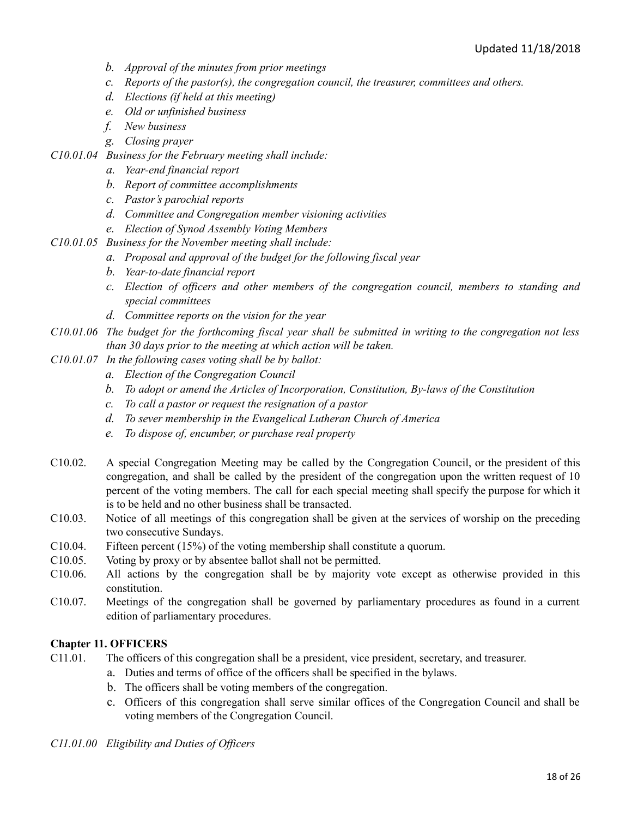- *b. Approval of the minutes from prior meetings*
- *c. Reports of the pastor(s), the congregation council, the treasurer, committees and others.*
- *d. Elections (if held at this meeting)*
- *e. Old or unfinished business*
- *f. New business*
- *g. Closing prayer*
- *C10.01.04 Business for the February meeting shall include:*
	- *a. Year-end financial report*
	- *b. Report of committee accomplishments*
	- *c. Pastor's parochial reports*
	- *d. Committee and Congregation member visioning activities*
	- *e. Election of Synod Assembly Voting Members*
- *C10.01.05 Business for the November meeting shall include:*
	- *a. Proposal and approval of the budget for the following fiscal year*
	- *b. Year-to-date financial report*
	- *c. Election of of icers and other members of the congregation council, members to standing and special committees*
	- *d. Committee reports on the vision for the year*
- $C10.01.06$  The budget for the forthcoming fiscal year shall be submitted in writing to the congregation not less *than 30 days prior to the meeting at which action will be taken.*
- *C10.01.07 In the following cases voting shall be by ballot:*
	- *a. Election of the Congregation Council*
	- *b. To adopt or amend the Articles of Incorporation, Constitution, By-laws of the Constitution*
	- *c. To call a pastor or request the resignation of a pastor*
	- *d. To sever membership in the Evangelical Lutheran Church of America*
	- *e. To dispose of, encumber, or purchase real property*
- C10.02. A special Congregation Meeting may be called by the Congregation Council, or the president of this congregation, and shall be called by the president of the congregation upon the written request of 10 percent of the voting members. The call for each special meeting shall specify the purpose for which it is to be held and no other business shall be transacted.
- C10.03. Notice of all meetings of this congregation shall be given at the services of worship on the preceding two consecutive Sundays.
- C10.04. Fifteen percent (15%) of the voting membership shall constitute a quorum.
- C10.05. Voting by proxy or by absentee ballot shall not be permitted.
- C10.06. All actions by the congregation shall be by majority vote except as otherwise provided in this constitution.
- C10.07. Meetings of the congregation shall be governed by parliamentary procedures as found in a current edition of parliamentary procedures.

#### <span id="page-17-0"></span>**Chapter 11. OFFICERS**

- C11.01. The officers of this congregation shall be a president, vice president, secretary, and treasurer.
	- a. Duties and terms of office of the officers shall be specified in the bylaws.
	- b. The officers shall be voting members of the congregation.
	- c. Officers of this congregation shall serve similar offices of the Congregation Council and shall be voting members of the Congregation Council.

*C11.01.00 Eligibility and Duties of Of icers*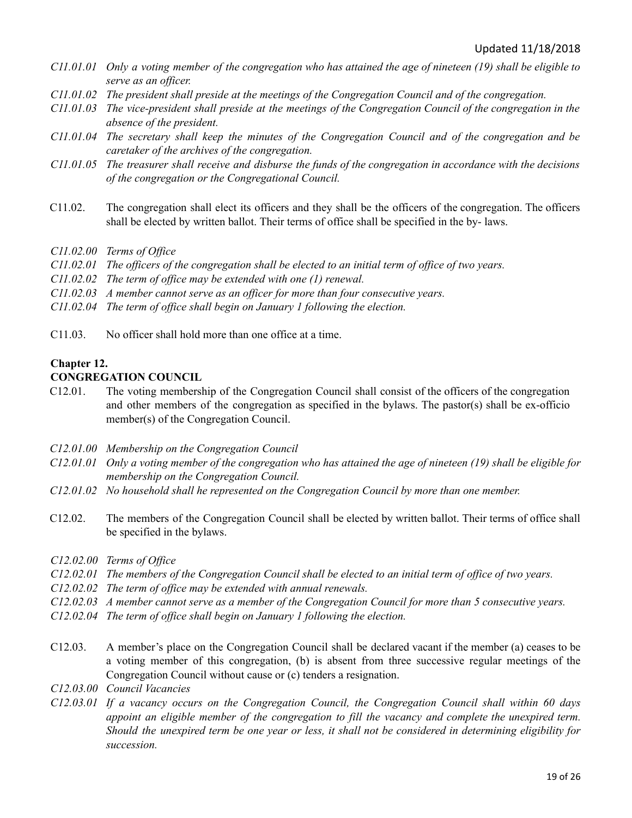- $C11.01.01$  Only a voting member of the congregation who has attained the age of nineteen (19) shall be eligible to *serve as an of icer.*
- *C11.01.02 The president shall preside at the meetings of the Congregation Council and of the congregation.*
- C11.01.03 The vice-president shall preside at the meetings of the Congregation Council of the congregation in the *absence of the president.*
- *C11.01.04 The secretary shall keep the minutes of the Congregation Council and of the congregation and be caretaker of the archives of the congregation.*
- C11.01.05 The treasurer shall receive and disburse the funds of the congregation in accordance with the decisions *of the congregation or the Congregational Council.*
- C11.02. The congregation shall elect its officers and they shall be the officers of the congregation. The officers shall be elected by written ballot. Their terms of office shall be specified in the by- laws.
- *C11.02.00 Terms of Of ice*
- $C11.02.01$  The officers of the congregation shall be elected to an initial term of office of two years.
- *C11.02.02 The term of of ice may be extended with one (1) renewal.*
- *C11.02.03 A member cannot serve as an of icer for more than four consecutive years.*
- *C11.02.04 The term of of ice shall begin on January 1 following the election.*
- C11.03. No officer shall hold more than one office at a time.

#### <span id="page-18-0"></span>**Chapter 12.**

#### **CONGREGATION COUNCIL**

- C12.01. The voting membership of the Congregation Council shall consist of the officers of the congregation and other members of the congregation as specified in the bylaws. The pastor(s) shall be ex-officio member(s) of the Congregation Council.
- *C12.01.00 Membership on the Congregation Council*
- $C12.01.01$  Only a voting member of the congregation who has attained the age of nineteen (19) shall be eligible for *membership on the Congregation Council.*
- *C12.01.02 No household shall he represented on the Congregation Council by more than one member.*
- C12.02. The members of the Congregation Council shall be elected by written ballot. Their terms of office shall be specified in the bylaws.
- *C12.02.00 Terms of Of ice*
- C12.02.01 The members of the Congregation Council shall be elected to an initial term of office of two years.
- *C12.02.02 The term of of ice may be extended with annual renewals.*
- C12.02.03 A member cannot serve as a member of the Congregation Council for more than 5 consecutive years.
- *C12.02.04 The term of of ice shall begin on January 1 following the election.*
- C12.03. A member's place on the Congregation Council shall be declared vacant if the member (a) ceases to be a voting member of this congregation, (b) is absent from three successive regular meetings of the Congregation Council without cause or (c) tenders a resignation.
- *C12.03.00 Council Vacancies*
- *C12.03.01 If a vacancy occurs on the Congregation Council, the Congregation Council shall within 60 days appoint an eligible member of the congregation to fill the vacancy and complete the unexpired term.* Should the unexpired term be one year or less, it shall not be considered in determining eligibility for *succession.*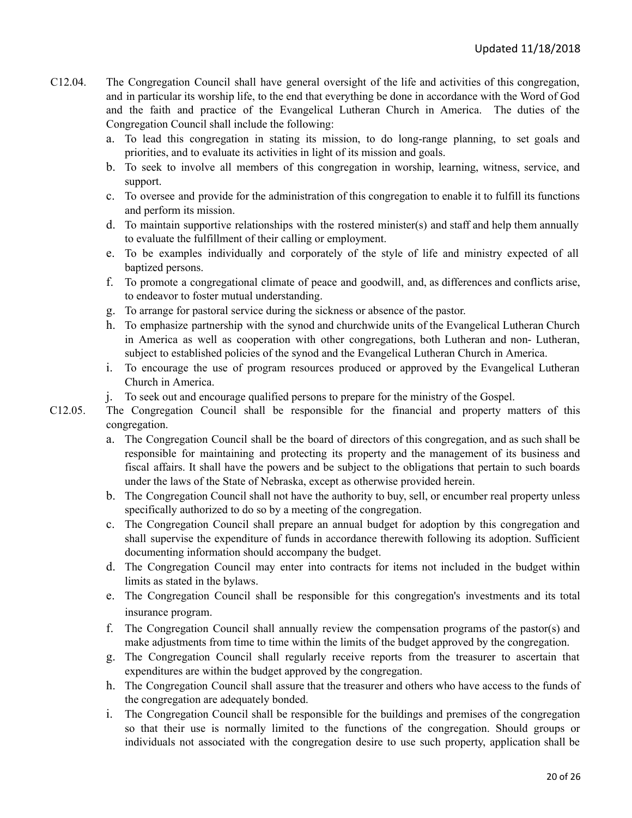- C12.04. The Congregation Council shall have general oversight of the life and activities of this congregation, and in particular its worship life, to the end that everything be done in accordance with the Word of God and the faith and practice of the Evangelical Lutheran Church in America. The duties of the Congregation Council shall include the following:
	- a. To lead this congregation in stating its mission, to do long-range planning, to set goals and priorities, and to evaluate its activities in light of its mission and goals.
	- b. To seek to involve all members of this congregation in worship, learning, witness, service, and support.
	- c. To oversee and provide for the administration of this congregation to enable it to fulfill its functions and perform its mission.
	- d. To maintain supportive relationships with the rostered minister(s) and staff and help them annually to evaluate the fulfillment of their calling or employment.
	- e. To be examples individually and corporately of the style of life and ministry expected of all baptized persons.
	- f. To promote a congregational climate of peace and goodwill, and, as differences and conflicts arise, to endeavor to foster mutual understanding.
	- g. To arrange for pastoral service during the sickness or absence of the pastor.
	- h. To emphasize partnership with the synod and churchwide units of the Evangelical Lutheran Church in America as well as cooperation with other congregations, both Lutheran and non- Lutheran, subject to established policies of the synod and the Evangelical Lutheran Church in America.
	- i. To encourage the use of program resources produced or approved by the Evangelical Lutheran Church in America.
	- j. To seek out and encourage qualified persons to prepare for the ministry of the Gospel.
- C12.05. The Congregation Council shall be responsible for the financial and property matters of this congregation.
	- a. The Congregation Council shall be the board of directors of this congregation, and as such shall be responsible for maintaining and protecting its property and the management of its business and fiscal affairs. It shall have the powers and be subject to the obligations that pertain to such boards under the laws of the State of Nebraska, except as otherwise provided herein.
	- b. The Congregation Council shall not have the authority to buy, sell, or encumber real property unless specifically authorized to do so by a meeting of the congregation.
	- c. The Congregation Council shall prepare an annual budget for adoption by this congregation and shall supervise the expenditure of funds in accordance therewith following its adoption. Sufficient documenting information should accompany the budget.
	- d. The Congregation Council may enter into contracts for items not included in the budget within limits as stated in the bylaws.
	- e. The Congregation Council shall be responsible for this congregation's investments and its total insurance program.
	- f. The Congregation Council shall annually review the compensation programs of the pastor(s) and make adjustments from time to time within the limits of the budget approved by the congregation.
	- g. The Congregation Council shall regularly receive reports from the treasurer to ascertain that expenditures are within the budget approved by the congregation.
	- h. The Congregation Council shall assure that the treasurer and others who have access to the funds of the congregation are adequately bonded.
	- i. The Congregation Council shall be responsible for the buildings and premises of the congregation so that their use is normally limited to the functions of the congregation. Should groups or individuals not associated with the congregation desire to use such property, application shall be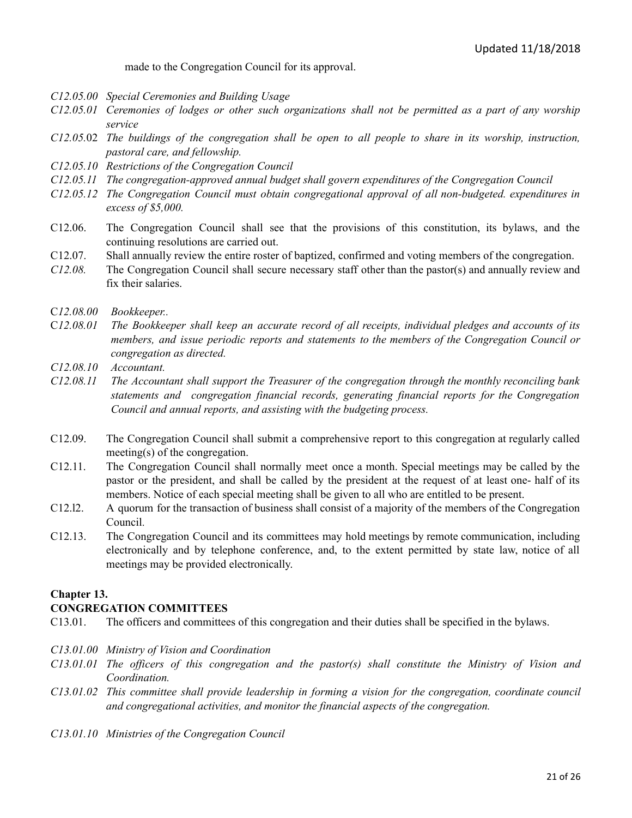made to the Congregation Council for its approval.

- *C12.05.00 Special Ceremonies and Building Usage*
- C12.05.01 Ceremonies of lodges or other such organizations shall not be permitted as a part of any worship *service*
- $C12.05.02$  The buildings of the congregation shall be open to all people to share in its worship, instruction, *pastoral care, and fellowship.*
- *C12.05.10 Restrictions of the Congregation Council*
- *C12.05.11 The congregation-approved annual budget shall govern expenditures of the Congregation Council*
- *C12.05.12 The Congregation Council must obtain congregational approval of all non-budgeted. expenditures in excess of \$5,000.*
- C12.06. The Congregation Council shall see that the provisions of this constitution, its bylaws, and the continuing resolutions are carried out.
- C12.07. Shall annually review the entire roster of baptized, confirmed and voting members of the congregation.
- *C12.08.* The Congregation Council shall secure necessary staff other than the pastor(s) and annually review and fix their salaries.
- C*12.08.00 Bookkeeper..*
- C12.08.01 The Bookkeeper shall keep an accurate record of all receipts, individual pledges and accounts of its *members, and issue periodic reports and statements to the members of the Congregation Council or congregation as directed.*
- *C12.08.10 Accountant.*
- *C12.08.11 The Accountant shall support the Treasurer of the congregation through the monthly reconciling bank statements and congregation financial records, generating financial reports for the Congregation Council and annual reports, and assisting with the budgeting process.*
- C12.09. The Congregation Council shall submit a comprehensive report to this congregation at regularly called meeting(s) of the congregation.
- C12.11. The Congregation Council shall normally meet once a month. Special meetings may be called by the pastor or the president, and shall be called by the president at the request of at least one- half of its members. Notice of each special meeting shall be given to all who are entitled to be present.
- C12.l2. A quorum for the transaction of business shall consist of a majority of the members of the Congregation Council.
- C12.13. The Congregation Council and its committees may hold meetings by remote communication, including electronically and by telephone conference, and, to the extent permitted by state law, notice of all meetings may be provided electronically.

#### **Chapter 13. CONGREGATION COMMITTEES**

- C13.01. The officers and committees of this congregation and their duties shall be specified in the bylaws.
- *C13.01.00 Ministry of Vision and Coordination*
- *C13.01.01 The of icers of this congregation and the pastor(s) shall constitute the Ministry of Vision and Coordination.*
- *C13.01.02 This committee shall provide leadership in forming a vision for the congregation, coordinate council and congregational activities, and monitor the financial aspects of the congregation.*
- *C13.01.10 Ministries of the Congregation Council*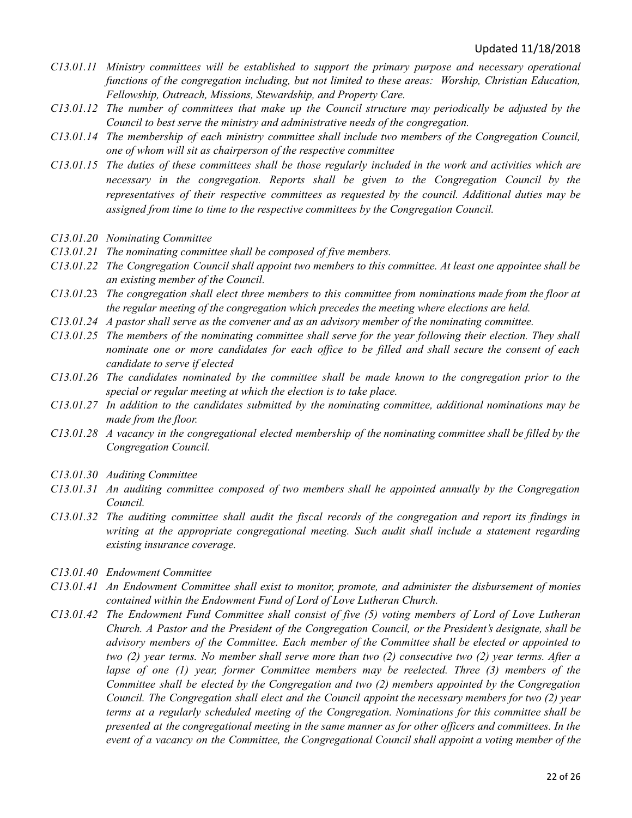- *C13.01.11 Ministry committees will be established to support the primary purpose and necessary operational functions of the congregation including, but not limited to these areas: Worship, Christian Education, Fellowship, Outreach, Missions, Stewardship, and Property Care.*
- *C13.01.12 The number of committees that make up the Council structure may periodically be adjusted by the Council to best serve the ministry and administrative needs of the congregation.*
- *C13.01.14 The membership of each ministry committee shall include two members of the Congregation Council, one of whom will sit as chairperson of the respective committee*
- C13.01.15 The duties of these committees shall be those regularly included in the work and activities which are *necessary in the congregation. Reports shall be given to the Congregation Council by the representatives of their respective committees as requested by the council. Additional duties may be assigned from time to time to the respective committees by the Congregation Council.*
- *C13.01.20 Nominating Committee*
- *C13.01.21 The nominating committee shall be composed of five members.*
- C13.01.22 The Congregation Council shall appoint two members to this committee. At least one appointee shall be *an existing member of the Council.*
- C13.01.23 The congregation shall elect three members to this committee from nominations made from the floor at *the regular meeting of the congregation which precedes the meeting where elections are held.*
- *C13.01.24 A pastor shall serve as the convener and as an advisory member of the nominating committee.*
- C13.01.25 The members of the nominating committee shall serve for the year following their election. They shall nominate one or more candidates for each office to be filled and shall secure the consent of each *candidate to serve if elected*
- *C13.01.26 The candidates nominated by the committee shall be made known to the congregation prior to the special or regular meeting at which the election is to take place.*
- *C13.01.27 In addition to the candidates submitted by the nominating committee, additional nominations may be made from the floor.*
- $C13.01.28$  A vacancy in the congregational elected membership of the nominating committee shall be filled by the *Congregation Council.*
- *C13.01.30 Auditing Committee*
- *C13.01.31 An auditing committee composed of two members shall he appointed annually by the Congregation Council.*
- C13.01.32 The auditing committee shall audit the fiscal records of the congregation and report its findings in *writing at the appropriate congregational meeting. Such audit shall include a statement regarding existing insurance coverage.*
- *C13.01.40 Endowment Committee*
- *C13.01.41 An Endowment Committee shall exist to monitor, promote, and administer the disbursement of monies contained within the Endowment Fund of Lord of Love Lutheran Church.*
- *C13.01.42 The Endowment Fund Committee shall consist of five (5) voting members of Lord of Love Lutheran Church. A Pastor and the President of the Congregation Council, or the President's designate, shall be advisory members of the Committee. Each member of the Committee shall be elected or appointed to* two (2) year terms. No member shall serve more than two (2) consecutive two (2) year terms. After a *lapse of one (1) year, former Committee members may be reelected. Three (3) members of the Committee shall be elected by the Congregation and two (2) members appointed by the Congregation Council. The Congregation shall elect and the Council appoint the necessary members for two (2) year terms at a regularly scheduled meeting of the Congregation. Nominations for this committee shall be* presented at the congregational meeting in the same manner as for other officers and committees. In the *event of a vacancy on the Committee, the Congregational Council shall appoint a voting member of the*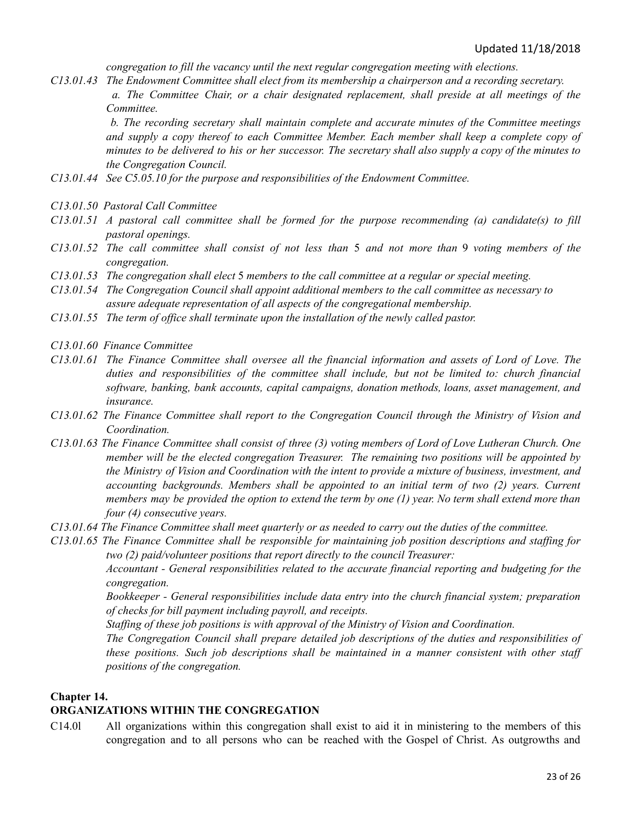*congregation to fill the vacancy until the next regular congregation meeting with elections.*

*C13.01.43 The Endowment Committee shall elect from its membership a chairperson and a recording secretary. a. The Committee Chair, or a chair designated replacement, shall preside at all meetings of the Committee.*

*b. The recording secretary shall maintain complete and accurate minutes of the Committee meetings and supply a copy thereof to each Committee Member. Each member shall keep a complete copy of* minutes to be delivered to his or her successor. The secretary shall also supply a copy of the minutes to *the Congregation Council.*

- *C13.01.44 See C5.05.10 for the purpose and responsibilities of the Endowment Committee.*
- *C13.01.50 Pastoral Call Committee*
- *C13.01.51 A pastoral call committee shall be formed for the purpose recommending (a) candidate(s) to fill pastoral openings.*
- $C13.01.52$  The call committee shall consist of not less than 5 and not more than 9 voting members of the *congregation.*
- *C13.01.53 The congregation shall elect* 5 *members to the call committee at a regular or special meeting.*
- *C13.01.54 The Congregation Council shall appoint additional members to the call committee as necessary to assure adequate representation of all aspects of the congregational membership.*
- *C13.01.55 The term of of ice shall terminate upon the installation of the newly called pastor.*
- *C13.01.60 Finance Committee*
- C13.01.61 The Finance Committee shall oversee all the financial information and assets of Lord of Love. The *duties and responsibilities of the committee shall include, but not be limited to: church financial software, banking, bank accounts, capital campaigns, donation methods, loans, asset management, and insurance.*
- *C13.01.62 The Finance Committee shall report to the Congregation Council through the Ministry of Vision and Coordination.*
- C13.01.63 The Finance Committee shall consist of three (3) voting members of Lord of Love Lutheran Church. One *member will be the elected congregation Treasurer. The remaining two positions will be appointed by the Ministry of Vision and Coordination with the intent to provide a mixture of business, investment, and accounting backgrounds. Members shall be appointed to an initial term of two (2) years. Current* members may be provided the option to extend the term by one  $(1)$  year. No term shall extend more than *four (4) consecutive years.*
- C13.01.64 The Finance Committee shall meet quarterly or as needed to carry out the duties of the committee.
- *C13.01.65 The Finance Committee shall be responsible for maintaining job position descriptions and staf ing for two (2) paid/volunteer positions that report directly to the council Treasurer:*

*Accountant - General responsibilities related to the accurate financial reporting and budgeting for the congregation.*

*Bookkeeper - General responsibilities include data entry into the church financial system; preparation of checks for bill payment including payroll, and receipts.*

*Staf ing of these job positions is with approval of the Ministry of Vision and Coordination.*

*The Congregation Council shall prepare detailed job descriptions of the duties and responsibilities of these positions. Such job descriptions shall be maintained in a manner consistent with other staf positions of the congregation.*

#### **Chapter 14.**

#### **ORGANIZATIONS WITHIN THE CONGREGATION**

C14.0l All organizations within this congregation shall exist to aid it in ministering to the members of this congregation and to all persons who can be reached with the Gospel of Christ. As outgrowths and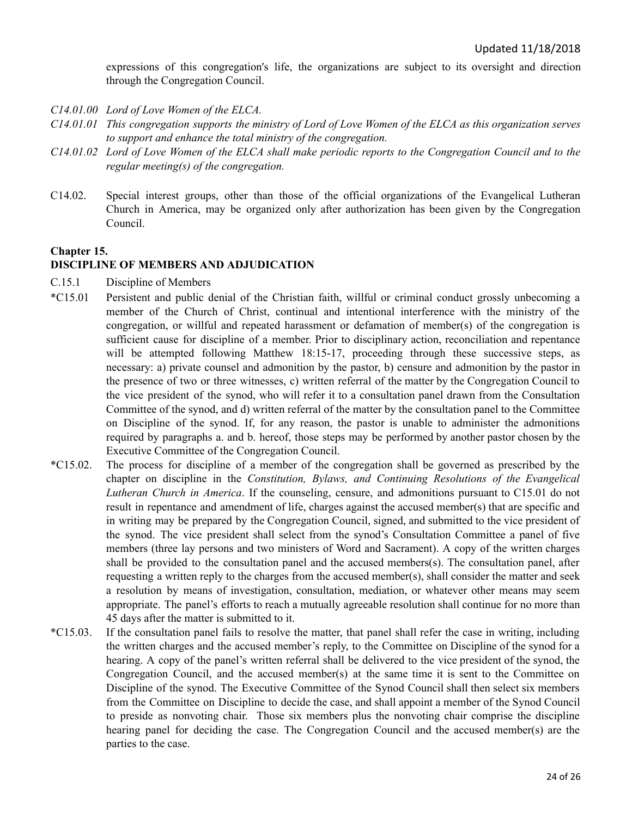expressions of this congregation's life, the organizations are subject to its oversight and direction through the Congregation Council.

- *C14.01.00 Lord of Love Women of the ELCA.*
- $C14.01.01$  This congregation supports the ministry of Lord of Love Women of the ELCA as this organization serves *to support and enhance the total ministry of the congregation.*
- C14.01.02 Lord of Love Women of the ELCA shall make periodic reports to the Congregation Council and to the *regular meeting(s) of the congregation.*
- C14.02. Special interest groups, other than those of the official organizations of the Evangelical Lutheran Church in America, may be organized only after authorization has been given by the Congregation Council.

#### **Chapter 15. DISCIPLINE OF MEMBERS AND ADJUDICATION**

- C.15.1 Discipline of Members
- \*C15.01 Persistent and public denial of the Christian faith, willful or criminal conduct grossly unbecoming a member of the Church of Christ, continual and intentional interference with the ministry of the congregation, or willful and repeated harassment or defamation of member(s) of the congregation is sufficient cause for discipline of a member. Prior to disciplinary action, reconciliation and repentance will be attempted following Matthew 18:15-17, proceeding through these successive steps, as necessary: a) private counsel and admonition by the pastor, b) censure and admonition by the pastor in the presence of two or three witnesses, c) written referral of the matter by the Congregation Council to the vice president of the synod, who will refer it to a consultation panel drawn from the Consultation Committee of the synod, and d) written referral of the matter by the consultation panel to the Committee on Discipline of the synod. If, for any reason, the pastor is unable to administer the admonitions required by paragraphs a. and b. hereof, those steps may be performed by another pastor chosen by the Executive Committee of the Congregation Council.
- \*C15.02. The process for discipline of a member of the congregation shall be governed as prescribed by the chapter on discipline in the *Constitution, Bylaws, and Continuing Resolutions of the Evangelical Lutheran Church in America*. If the counseling, censure, and admonitions pursuant to C15.01 do not result in repentance and amendment of life, charges against the accused member(s) that are specific and in writing may be prepared by the Congregation Council, signed, and submitted to the vice president of the synod. The vice president shall select from the synod's Consultation Committee a panel of five members (three lay persons and two ministers of Word and Sacrament). A copy of the written charges shall be provided to the consultation panel and the accused members(s). The consultation panel, after requesting a written reply to the charges from the accused member(s), shall consider the matter and seek a resolution by means of investigation, consultation, mediation, or whatever other means may seem appropriate. The panel's efforts to reach a mutually agreeable resolution shall continue for no more than 45 days after the matter is submitted to it.
- \*C15.03. If the consultation panel fails to resolve the matter, that panel shall refer the case in writing, including the written charges and the accused member's reply, to the Committee on Discipline of the synod for a hearing. A copy of the panel's written referral shall be delivered to the vice president of the synod, the Congregation Council, and the accused member(s) at the same time it is sent to the Committee on Discipline of the synod. The Executive Committee of the Synod Council shall then select six members from the Committee on Discipline to decide the case, and shall appoint a member of the Synod Council to preside as nonvoting chair. Those six members plus the nonvoting chair comprise the discipline hearing panel for deciding the case. The Congregation Council and the accused member(s) are the parties to the case.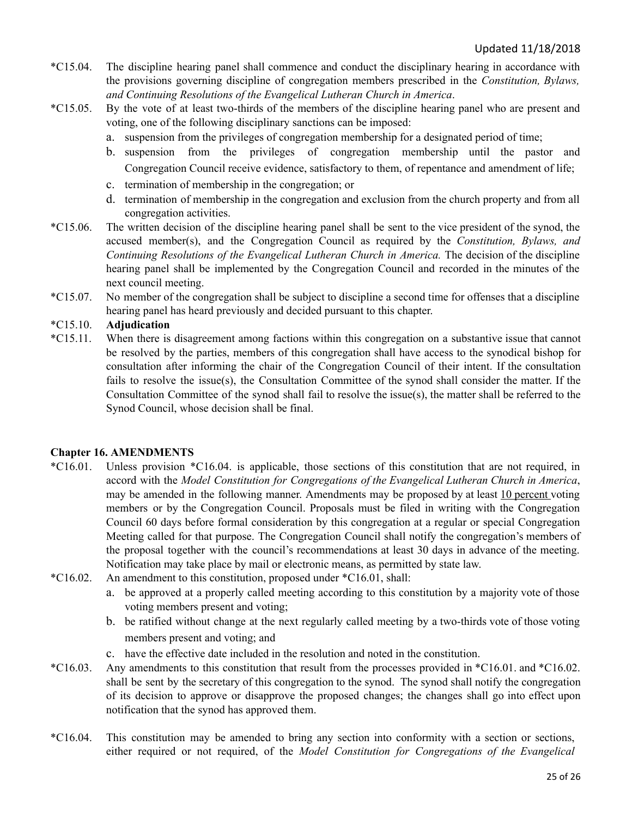- \*C15.04. The discipline hearing panel shall commence and conduct the disciplinary hearing in accordance with the provisions governing discipline of congregation members prescribed in the *Constitution, Bylaws, and Continuing Resolutions of the Evangelical Lutheran Church in America*.
- \*C15.05. By the vote of at least two-thirds of the members of the discipline hearing panel who are present and voting, one of the following disciplinary sanctions can be imposed:
	- a. suspension from the privileges of congregation membership for a designated period of time;
	- b. suspension from the privileges of congregation membership until the pastor and Congregation Council receive evidence, satisfactory to them, of repentance and amendment of life;
	- c. termination of membership in the congregation; or
	- d. termination of membership in the congregation and exclusion from the church property and from all congregation activities.
- \*C15.06. The written decision of the discipline hearing panel shall be sent to the vice president of the synod, the accused member(s), and the Congregation Council as required by the *Constitution, Bylaws, and Continuing Resolutions of the Evangelical Lutheran Church in America.* The decision of the discipline hearing panel shall be implemented by the Congregation Council and recorded in the minutes of the next council meeting.
- \*C15.07. No member of the congregation shall be subject to discipline a second time for offenses that a discipline hearing panel has heard previously and decided pursuant to this chapter.

#### \*C15.10. **Adjudication**

\*C15.11. When there is disagreement among factions within this congregation on a substantive issue that cannot be resolved by the parties, members of this congregation shall have access to the synodical bishop for consultation after informing the chair of the Congregation Council of their intent. If the consultation fails to resolve the issue(s), the Consultation Committee of the synod shall consider the matter. If the Consultation Committee of the synod shall fail to resolve the issue(s), the matter shall be referred to the Synod Council, whose decision shall be final.

#### <span id="page-24-1"></span><span id="page-24-0"></span>**Chapter 16. AMENDMENTS**

- \*C16.01. Unless provision \*C16.04. is applicable, those sections of this constitution that are not required, in accord with the *Model Constitution for Congregations of the Evangelical Lutheran Church in America*, may be amended in the following manner. Amendments may be proposed by at least 10 percent voting members or by the Congregation Council. Proposals must be filed in writing with the Congregation Council 60 days before formal consideration by this congregation at a regular or special Congregation Meeting called for that purpose. The Congregation Council shall notify the congregation's members of the proposal together with the council's recommendations at least 30 days in advance of the meeting. Notification may take place by mail or electronic means, as permitted by state law.
- \*C16.02. An amendment to this constitution, proposed under \*C16.01, shall:
	- a. be approved at a properly called meeting according to this constitution by a majority vote of those voting members present and voting;
	- b. be ratified without change at the next regularly called meeting by a two-thirds vote of those voting members present and voting; and
	- c. have the effective date included in the resolution and noted in the constitution.
- \*C16.03. Any amendments to this constitution that result from the processes provided in \*C16.01. and \*C16.02. shall be sent by the secretary of this congregation to the synod. The synod shall notify the congregation of its decision to approve or disapprove the proposed changes; the changes shall go into effect upon notification that the synod has approved them.
- \*C16.04. This constitution may be amended to bring any section into conformity with a section or sections, either required or not required, of the *Model Constitution for Congregations of the Evangelical*